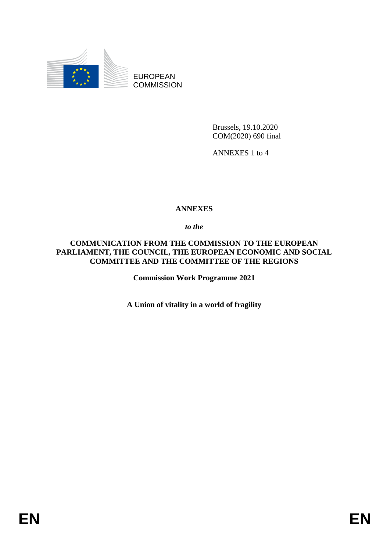

EUROPEAN **COMMISSION** 

> Brussels, 19.10.2020 COM(2020) 690 final

ANNEXES 1 to 4

#### **ANNEXES**

*to the* 

**COMMUNICATION FROM THE COMMISSION TO THE EUROPEAN PARLIAMENT, THE COUNCIL, THE EUROPEAN ECONOMIC AND SOCIAL COMMITTEE AND THE COMMITTEE OF THE REGIONS**

**Commission Work Programme 2021** 

**A Union of vitality in a world of fragility**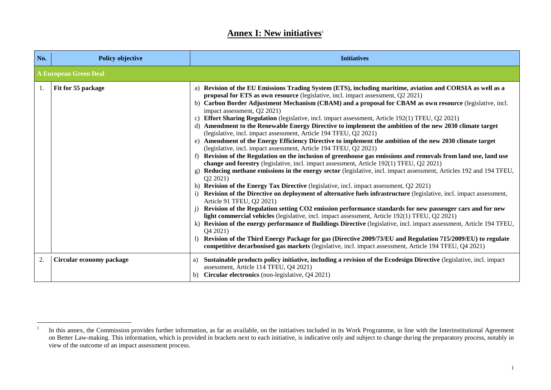#### **Annex I: New initiatives**<sup>1</sup>

| No. | <b>Policy objective</b>      | <b>Initiatives</b>                                                                                                                                                                                                                                                                                                                                                                                                                                                                                                                                                                                                                                                                                                                                                                                                                                                                                                                                                                                                                                                                                                                                                                                                                                                                                                                                                                                                                                                                                                                                                                                                                                                                                                                                                                                                                                                                                                                                                                             |
|-----|------------------------------|------------------------------------------------------------------------------------------------------------------------------------------------------------------------------------------------------------------------------------------------------------------------------------------------------------------------------------------------------------------------------------------------------------------------------------------------------------------------------------------------------------------------------------------------------------------------------------------------------------------------------------------------------------------------------------------------------------------------------------------------------------------------------------------------------------------------------------------------------------------------------------------------------------------------------------------------------------------------------------------------------------------------------------------------------------------------------------------------------------------------------------------------------------------------------------------------------------------------------------------------------------------------------------------------------------------------------------------------------------------------------------------------------------------------------------------------------------------------------------------------------------------------------------------------------------------------------------------------------------------------------------------------------------------------------------------------------------------------------------------------------------------------------------------------------------------------------------------------------------------------------------------------------------------------------------------------------------------------------------------------|
|     | <b>A European Green Deal</b> |                                                                                                                                                                                                                                                                                                                                                                                                                                                                                                                                                                                                                                                                                                                                                                                                                                                                                                                                                                                                                                                                                                                                                                                                                                                                                                                                                                                                                                                                                                                                                                                                                                                                                                                                                                                                                                                                                                                                                                                                |
| 1.  | Fit for 55 package           | a) Revision of the EU Emissions Trading System (ETS), including maritime, aviation and CORSIA as well as a<br>proposal for ETS as own resource (legislative, incl. impact assessment, Q2 2021)<br>b) Carbon Border Adjustment Mechanism (CBAM) and a proposal for CBAM as own resource (legislative, incl.<br>impact assessment, Q2 2021)<br>c) Effort Sharing Regulation (legislative, incl. impact assessment, Article 192(1) TFEU, Q2 2021)<br>d) Amendment to the Renewable Energy Directive to implement the ambition of the new 2030 climate target<br>(legislative, incl. impact assessment, Article 194 TFEU, Q2 2021)<br>e) Amendment of the Energy Efficiency Directive to implement the ambition of the new 2030 climate target<br>(legislative, incl. impact assessment, Article 194 TFEU, Q2 2021)<br>f) Revision of the Regulation on the inclusion of greenhouse gas emissions and removals from land use, land use<br>change and forestry (legislative, incl. impact assessment, Article 192(1) TFEU, Q2 2021)<br>Reducing methane emissions in the energy sector (legislative, incl. impact assessment, Articles 192 and 194 TFEU,<br>g)<br>Q2 2021)<br>h) Revision of the Energy Tax Directive (legislative, incl. impact assessment, Q2 2021)<br>Revision of the Directive on deployment of alternative fuels infrastructure (legislative, incl. impact assessment,<br>Article 91 TFEU, Q2 2021)<br>Revision of the Regulation setting CO2 emission performance standards for new passenger cars and for new<br>light commercial vehicles (legislative, incl. impact assessment, Article 192(1) TFEU, Q2 2021)<br>k) Revision of the energy performance of Buildings Directive (legislative, incl. impact assessment, Article 194 TFEU,<br>Q4 2021)<br>Revision of the Third Energy Package for gas (Directive 2009/73/EU and Regulation 715/2009/EU) to regulate<br>competitive decarbonised gas markets (legislative, incl. impact assessment, Article 194 TFEU, Q4 2021) |
| 2.  | Circular economy package     | Sustainable products policy initiative, including a revision of the Ecodesign Directive (legislative, incl. impact<br>a)<br>assessment, Article 114 TFEU, Q4 2021)<br>b) Circular electronics (non-legislative, Q4 2021)                                                                                                                                                                                                                                                                                                                                                                                                                                                                                                                                                                                                                                                                                                                                                                                                                                                                                                                                                                                                                                                                                                                                                                                                                                                                                                                                                                                                                                                                                                                                                                                                                                                                                                                                                                       |

 $\frac{1}{1}$ In this annex, the Commission provides further information, as far as available, on the initiatives included in its Work Programme, in line with the Interinstitutional Agreement on Better Law-making. This information, which is provided in brackets next to each initiative, is indicative only and subject to change during the preparatory process, notably in view of the outcome of an impact assessment process.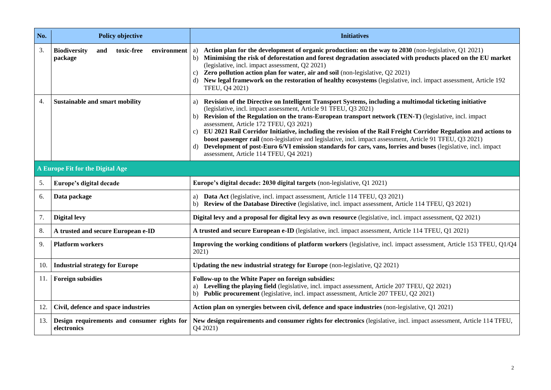| No. | <b>Policy objective</b>                                            | <b>Initiatives</b>                                                                                                                                                                                                                                                                                                                                                                                                                                                                                                                                                                                                                                                                                                                          |
|-----|--------------------------------------------------------------------|---------------------------------------------------------------------------------------------------------------------------------------------------------------------------------------------------------------------------------------------------------------------------------------------------------------------------------------------------------------------------------------------------------------------------------------------------------------------------------------------------------------------------------------------------------------------------------------------------------------------------------------------------------------------------------------------------------------------------------------------|
| 3.  | toxic-free<br><b>Biodiversity</b><br>environment<br>and<br>package | Action plan for the development of organic production: on the way to 2030 (non-legislative, Q1 2021)<br>a)<br>Minimising the risk of deforestation and forest degradation associated with products placed on the EU market<br>b)<br>(legislative, incl. impact assessment, Q2 2021)<br>Zero pollution action plan for water, air and soil (non-legislative, Q2 2021)<br>c)<br>New legal framework on the restoration of healthy ecosystems (legislative, incl. impact assessment, Article 192<br>d)<br>TFEU, Q4 2021)                                                                                                                                                                                                                       |
| 4.  | Sustainable and smart mobility                                     | Revision of the Directive on Intelligent Transport Systems, including a multimodal ticketing initiative<br>a)<br>(legislative, incl. impact assessment, Article 91 TFEU, Q3 2021)<br>b) Revision of the Regulation on the trans-European transport network (TEN-T) (legislative, incl. impact<br>assessment, Article 172 TFEU, Q3 2021)<br>EU 2021 Rail Corridor Initiative, including the revision of the Rail Freight Corridor Regulation and actions to<br>C)<br>boost passenger rail (non-legislative and legislative, incl. impact assessment, Article 91 TFEU, Q3 2021)<br>d) Development of post-Euro 6/VI emission standards for cars, vans, lorries and buses (legislative, incl. impact<br>assessment, Article 114 TFEU, Q4 2021) |
|     | A Europe Fit for the Digital Age                                   |                                                                                                                                                                                                                                                                                                                                                                                                                                                                                                                                                                                                                                                                                                                                             |
| 5.  | Europe's digital decade                                            | Europe's digital decade: 2030 digital targets (non-legislative, Q1 2021)                                                                                                                                                                                                                                                                                                                                                                                                                                                                                                                                                                                                                                                                    |
| 6.  | Data package                                                       | a) Data Act (legislative, incl. impact assessment, Article 114 TFEU, Q3 2021)<br>b) Review of the Database Directive (legislative, incl. impact assessment, Article 114 TFEU, Q3 2021)                                                                                                                                                                                                                                                                                                                                                                                                                                                                                                                                                      |
| 7.  | <b>Digital levy</b>                                                | Digital levy and a proposal for digital levy as own resource (legislative, incl. impact assessment, Q2 2021)                                                                                                                                                                                                                                                                                                                                                                                                                                                                                                                                                                                                                                |
| 8.  | A trusted and secure European e-ID                                 | A trusted and secure European e-ID (legislative, incl. impact assessment, Article 114 TFEU, Q1 2021)                                                                                                                                                                                                                                                                                                                                                                                                                                                                                                                                                                                                                                        |
| 9.  | <b>Platform workers</b>                                            | Improving the working conditions of platform workers (legislative, incl. impact assessment, Article 153 TFEU, Q1/Q4<br>2021)                                                                                                                                                                                                                                                                                                                                                                                                                                                                                                                                                                                                                |
| 10. | <b>Industrial strategy for Europe</b>                              | Updating the new industrial strategy for Europe (non-legislative, Q2 2021)                                                                                                                                                                                                                                                                                                                                                                                                                                                                                                                                                                                                                                                                  |
| 11. | <b>Foreign subsidies</b>                                           | Follow-up to the White Paper on foreign subsidies:<br>a) Levelling the playing field (legislative, incl. impact assessment, Article 207 TFEU, Q2 2021)<br>b) Public procurement (legislative, incl. impact assessment, Article 207 TFEU, Q2 2021)                                                                                                                                                                                                                                                                                                                                                                                                                                                                                           |
| 12. | Civil, defence and space industries                                | Action plan on synergies between civil, defence and space industries (non-legislative, Q1 2021)                                                                                                                                                                                                                                                                                                                                                                                                                                                                                                                                                                                                                                             |
| 13. | Design requirements and consumer rights for<br>electronics         | New design requirements and consumer rights for electronics (legislative, incl. impact assessment, Article 114 TFEU,<br>Q4 2021)                                                                                                                                                                                                                                                                                                                                                                                                                                                                                                                                                                                                            |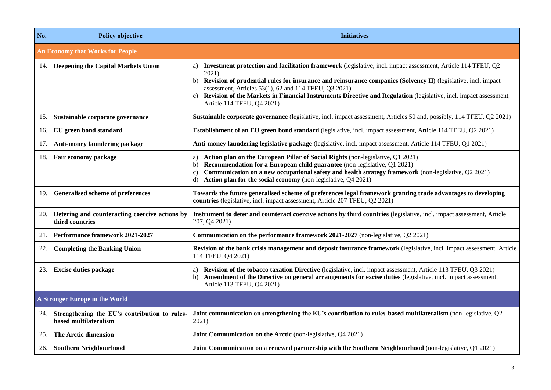| No. | <b>Policy objective</b>                                                | <b>Initiatives</b>                                                                                                                                                                                                                                                                                                                                                                                                                                                  |  |
|-----|------------------------------------------------------------------------|---------------------------------------------------------------------------------------------------------------------------------------------------------------------------------------------------------------------------------------------------------------------------------------------------------------------------------------------------------------------------------------------------------------------------------------------------------------------|--|
|     | <b>An Economy that Works for People</b>                                |                                                                                                                                                                                                                                                                                                                                                                                                                                                                     |  |
| 14. | <b>Deepening the Capital Markets Union</b>                             | Investment protection and facilitation framework (legislative, incl. impact assessment, Article 114 TFEU, Q2<br>a)<br>2021)<br>Revision of prudential rules for insurance and reinsurance companies (Solvency II) (legislative, incl. impact<br>b)<br>assessment, Articles 53(1), 62 and 114 TFEU, Q3 2021)<br>Revision of the Markets in Financial Instruments Directive and Regulation (legislative, incl. impact assessment,<br>C)<br>Article 114 TFEU, Q4 2021) |  |
| 15. | Sustainable corporate governance                                       | Sustainable corporate governance (legislative, incl. impact assessment, Articles 50 and, possibly, 114 TFEU, Q2 2021)                                                                                                                                                                                                                                                                                                                                               |  |
| 16. | EU green bond standard                                                 | Establishment of an EU green bond standard (legislative, incl. impact assessment, Article 114 TFEU, Q2 2021)                                                                                                                                                                                                                                                                                                                                                        |  |
| 17. | Anti-money laundering package                                          | Anti-money laundering legislative package (legislative, incl. impact assessment, Article 114 TFEU, Q1 2021)                                                                                                                                                                                                                                                                                                                                                         |  |
| 18. | Fair economy package                                                   | Action plan on the European Pillar of Social Rights (non-legislative, Q1 2021)<br>a)<br><b>Recommendation for a European child guarantee</b> (non-legislative, Q1 2021)<br>b)<br>Communication on a new occupational safety and health strategy framework (non-legislative, Q2 2021)<br>c)<br>Action plan for the social economy (non-legislative, Q4 2021)<br>d)                                                                                                   |  |
| 19. | Generalised scheme of preferences                                      | Towards the future generalised scheme of preferences legal framework granting trade advantages to developing<br>countries (legislative, incl. impact assessment, Article 207 TFEU, Q2 2021)                                                                                                                                                                                                                                                                         |  |
| 20. | Detering and counteracting coercive actions by<br>third countries      | Instrument to deter and counteract coercive actions by third countries (legislative, incl. impact assessment, Article<br>207, Q4 2021)                                                                                                                                                                                                                                                                                                                              |  |
| 21. | Performance framework 2021-2027                                        | Communication on the performance framework 2021-2027 (non-legislative, Q2 2021)                                                                                                                                                                                                                                                                                                                                                                                     |  |
| 22. | <b>Completing the Banking Union</b>                                    | Revision of the bank crisis management and deposit insurance framework (legislative, incl. impact assessment, Article<br>114 TFEU, Q4 2021)                                                                                                                                                                                                                                                                                                                         |  |
| 23. | <b>Excise duties package</b>                                           | Revision of the tobacco taxation Directive (legislative, incl. impact assessment, Article 113 TFEU, Q3 2021)<br>a)<br>Amendment of the Directive on general arrangements for excise duties (legislative, incl. impact assessment,<br>b)<br>Article 113 TFEU, Q4 2021)                                                                                                                                                                                               |  |
|     | A Stronger Europe in the World                                         |                                                                                                                                                                                                                                                                                                                                                                                                                                                                     |  |
| 24. | Strengthening the EU's contribution to rules-<br>based multilateralism | Joint communication on strengthening the EU's contribution to rules-based multilateralism (non-legislative, Q2<br>2021)                                                                                                                                                                                                                                                                                                                                             |  |
| 25. | The Arctic dimension                                                   | Joint Communication on the Arctic (non-legislative, Q4 2021)                                                                                                                                                                                                                                                                                                                                                                                                        |  |
| 26. | <b>Southern Neighbourhood</b>                                          | Joint Communication on a renewed partnership with the Southern Neighbourhood (non-legislative, Q1 2021)                                                                                                                                                                                                                                                                                                                                                             |  |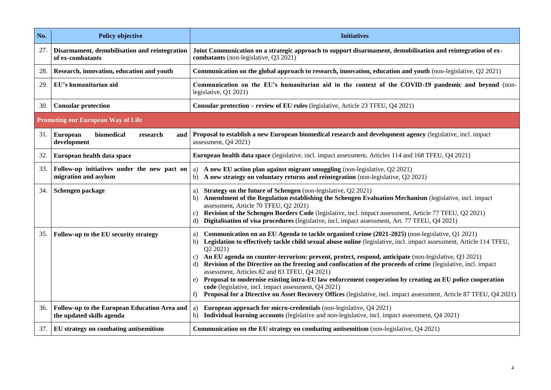| No. | <b>Policy objective</b>                                                   | <b>Initiatives</b>                                                                                                                                                                                                                                                                                                                                                                                                                                                                                                                                                                                                                                                                                                                                                                                                                          |
|-----|---------------------------------------------------------------------------|---------------------------------------------------------------------------------------------------------------------------------------------------------------------------------------------------------------------------------------------------------------------------------------------------------------------------------------------------------------------------------------------------------------------------------------------------------------------------------------------------------------------------------------------------------------------------------------------------------------------------------------------------------------------------------------------------------------------------------------------------------------------------------------------------------------------------------------------|
| 27. | Disarmament, demobilisation and reintegration<br>of ex-combatants         | Joint Communication on a strategic approach to support disarmament, demobilisation and reintegration of ex-<br>combatants (non-legislative, Q3 2021)                                                                                                                                                                                                                                                                                                                                                                                                                                                                                                                                                                                                                                                                                        |
| 28. | Research, innovation, education and youth                                 | Communication on the global approach to research, innovation, education and youth (non-legislative, Q2 2021)                                                                                                                                                                                                                                                                                                                                                                                                                                                                                                                                                                                                                                                                                                                                |
| 29. | EU's humanitarian aid                                                     | Communication on the EU's humanitarian aid in the context of the COVID-19 pandemic and beyond (non-<br>legislative, Q1 2021)                                                                                                                                                                                                                                                                                                                                                                                                                                                                                                                                                                                                                                                                                                                |
| 30. | <b>Consular protection</b>                                                | Consular protection – review of EU rules (legislative, Article 23 TFEU, Q4 2021)                                                                                                                                                                                                                                                                                                                                                                                                                                                                                                                                                                                                                                                                                                                                                            |
|     | <b>Promoting our European Way of Life</b>                                 |                                                                                                                                                                                                                                                                                                                                                                                                                                                                                                                                                                                                                                                                                                                                                                                                                                             |
| 31. | biomedical<br><b>European</b><br>research<br>and<br>development           | Proposal to establish a new European biomedical research and development agency (legislative, incl. impact<br>assessment, Q4 2021)                                                                                                                                                                                                                                                                                                                                                                                                                                                                                                                                                                                                                                                                                                          |
| 32. | European health data space                                                | European health data space (legislative, incl. impact assessment, Articles 114 and 168 TFEU, Q4 2021)                                                                                                                                                                                                                                                                                                                                                                                                                                                                                                                                                                                                                                                                                                                                       |
| 33. | Follow-up initiatives under the new pact on<br>migration and asylum       | A new EU action plan against migrant smuggling (non-legislative, Q2 2021)<br>a)<br>A new strategy on voluntary returns and reintegration (non-legislative, Q2 2021)<br>b)                                                                                                                                                                                                                                                                                                                                                                                                                                                                                                                                                                                                                                                                   |
| 34. | Schengen package                                                          | Strategy on the future of Schengen (non-legislative, Q2 2021)<br>a)<br>Amendment of the Regulation establishing the Schengen Evaluation Mechanism (legislative, incl. impact<br>b)<br>assessment, Article 70 TFEU, Q2 2021)<br>Revision of the Schengen Borders Code (legislative, incl. impact assessment, Article 77 TFEU, Q2 2021)<br>C)<br>d) Digitalisation of visa procedures (legislative, incl. impact assessment, Art. 77 TFEU, Q4 2021)                                                                                                                                                                                                                                                                                                                                                                                           |
| 35. | Follow-up to the EU security strategy                                     | Communication on an EU Agenda to tackle organised crime (2021-2025) (non-legislative, Q1 2021)<br>a)<br>Legislation to effectively tackle child sexual abuse online (legislative, incl. impact assessment, Article 114 TFEU,<br>b)<br>Q2 2021)<br>An EU agenda on counter-terrorism: prevent, protect, respond, anticipate (non-legislative, Q3 2021)<br>C)<br>Revision of the Directive on the freezing and confiscation of the proceeds of crime (legislative, incl. impact<br>d)<br>assessment, Articles 82 and 83 TFEU, Q4 2021)<br>Proposal to modernise existing intra-EU law enforcement cooperation by creating an EU police cooperation<br>e)<br>code (legislative, incl. impact assessment, Q4 2021)<br>Proposal for a Directive on Asset Recovery Offices (legislative, incl. impact assessment, Article 87 TFEU, Q4 2021)<br>f) |
| 36. | Follow-up to the European Education Area and<br>the updated skills agenda | European approach for micro-credentials (non-legislative, Q4 2021)<br>a)<br>Individual learning accounts (legislative and non-legislative, incl. impact assessment, Q4 2021)<br>b)                                                                                                                                                                                                                                                                                                                                                                                                                                                                                                                                                                                                                                                          |
| 37. | EU strategy on combating antisemitism                                     | Communication on the EU strategy on combating antisemitism (non-legislative, Q4 2021)                                                                                                                                                                                                                                                                                                                                                                                                                                                                                                                                                                                                                                                                                                                                                       |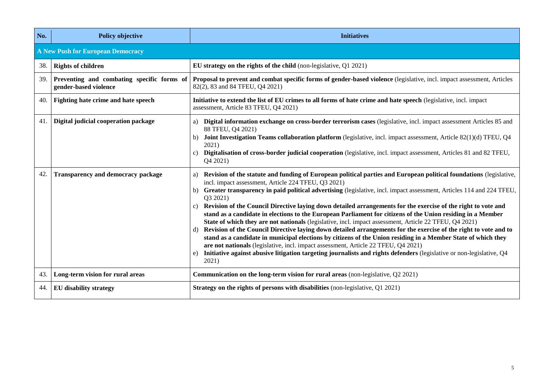| No. | <b>Policy objective</b>                                             | <b>Initiatives</b>                                                                                                                                                                                                                                                                                                                                                                                                                                                                                                                                                                                                                                                                                                                                                                                                                                                                                                                                                                                                                                                                                                                                          |
|-----|---------------------------------------------------------------------|-------------------------------------------------------------------------------------------------------------------------------------------------------------------------------------------------------------------------------------------------------------------------------------------------------------------------------------------------------------------------------------------------------------------------------------------------------------------------------------------------------------------------------------------------------------------------------------------------------------------------------------------------------------------------------------------------------------------------------------------------------------------------------------------------------------------------------------------------------------------------------------------------------------------------------------------------------------------------------------------------------------------------------------------------------------------------------------------------------------------------------------------------------------|
|     | A New Push for European Democracy                                   |                                                                                                                                                                                                                                                                                                                                                                                                                                                                                                                                                                                                                                                                                                                                                                                                                                                                                                                                                                                                                                                                                                                                                             |
| 38. | <b>Rights of children</b>                                           | EU strategy on the rights of the child (non-legislative, Q1 2021)                                                                                                                                                                                                                                                                                                                                                                                                                                                                                                                                                                                                                                                                                                                                                                                                                                                                                                                                                                                                                                                                                           |
| 39. | Preventing and combating specific forms of<br>gender-based violence | Proposal to prevent and combat specific forms of gender-based violence (legislative, incl. impact assessment, Articles<br>82(2), 83 and 84 TFEU, Q4 2021)                                                                                                                                                                                                                                                                                                                                                                                                                                                                                                                                                                                                                                                                                                                                                                                                                                                                                                                                                                                                   |
| 40. | Fighting hate crime and hate speech                                 | Initiative to extend the list of EU crimes to all forms of hate crime and hate speech (legislative, incl. impact<br>assessment, Article 83 TFEU, Q4 2021)                                                                                                                                                                                                                                                                                                                                                                                                                                                                                                                                                                                                                                                                                                                                                                                                                                                                                                                                                                                                   |
| 41. | Digital judicial cooperation package                                | Digital information exchange on cross-border terrorism cases (legislative, incl. impact assessment Articles 85 and<br>a)<br>88 TFEU, Q4 2021)<br>Joint Investigation Teams collaboration platform (legislative, incl. impact assessment, Article 82(1)(d) TFEU, Q4<br>2021)<br>Digitalisation of cross-border judicial cooperation (legislative, incl. impact assessment, Articles 81 and 82 TFEU,<br>c)<br>Q4 2021)                                                                                                                                                                                                                                                                                                                                                                                                                                                                                                                                                                                                                                                                                                                                        |
| 42. | Transparency and democracy package                                  | Revision of the statute and funding of European political parties and European political foundations (legislative,<br>a)<br>incl. impact assessment, Article 224 TFEU, Q3 2021)<br>Greater transparency in paid political advertising (legislative, incl. impact assessment, Articles 114 and 224 TFEU,<br>b)<br>Q3 2021)<br>Revision of the Council Directive laying down detailed arrangements for the exercise of the right to vote and<br>$\mathbf{c}$<br>stand as a candidate in elections to the European Parliament for citizens of the Union residing in a Member<br>State of which they are not nationals (legislative, incl. impact assessment, Article 22 TFEU, Q4 2021)<br>Revision of the Council Directive laying down detailed arrangements for the exercise of the right to vote and to<br>d)<br>stand as a candidate in municipal elections by citizens of the Union residing in a Member State of which they<br>are not nationals (legislative, incl. impact assessment, Article 22 TFEU, Q4 2021)<br>Initiative against abusive litigation targeting journalists and rights defenders (legislative or non-legislative, Q4<br>e)<br>2021) |
| 43. | Long-term vision for rural areas                                    | Communication on the long-term vision for rural areas (non-legislative, Q2 2021)                                                                                                                                                                                                                                                                                                                                                                                                                                                                                                                                                                                                                                                                                                                                                                                                                                                                                                                                                                                                                                                                            |
| 44. | <b>EU</b> disability strategy                                       | Strategy on the rights of persons with disabilities (non-legislative, Q1 2021)                                                                                                                                                                                                                                                                                                                                                                                                                                                                                                                                                                                                                                                                                                                                                                                                                                                                                                                                                                                                                                                                              |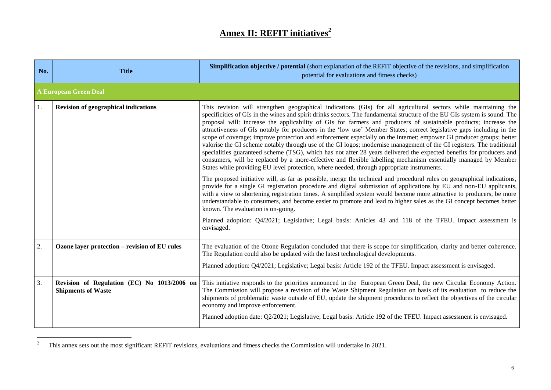# **Annex II: REFIT initiatives<sup>2</sup>**

| No.              | <b>Title</b>                                                             | <b>Simplification objective / potential</b> (short explanation of the REFIT objective of the revisions, and simplification<br>potential for evaluations and fitness checks)                                                                                                                                                                                                                                                                                                                                                                                                                                                                                                                                                                                                                                                                                                                                                                                                                                                                                                                                                                                                                                                                                                                                                                                                                                                                                                                                                                                                                                                                                                                                                                          |
|------------------|--------------------------------------------------------------------------|------------------------------------------------------------------------------------------------------------------------------------------------------------------------------------------------------------------------------------------------------------------------------------------------------------------------------------------------------------------------------------------------------------------------------------------------------------------------------------------------------------------------------------------------------------------------------------------------------------------------------------------------------------------------------------------------------------------------------------------------------------------------------------------------------------------------------------------------------------------------------------------------------------------------------------------------------------------------------------------------------------------------------------------------------------------------------------------------------------------------------------------------------------------------------------------------------------------------------------------------------------------------------------------------------------------------------------------------------------------------------------------------------------------------------------------------------------------------------------------------------------------------------------------------------------------------------------------------------------------------------------------------------------------------------------------------------------------------------------------------------|
|                  | <b>A European Green Deal</b>                                             |                                                                                                                                                                                                                                                                                                                                                                                                                                                                                                                                                                                                                                                                                                                                                                                                                                                                                                                                                                                                                                                                                                                                                                                                                                                                                                                                                                                                                                                                                                                                                                                                                                                                                                                                                      |
| 1.               | <b>Revision of geographical indications</b>                              | This revision will strengthen geographical indications (GIs) for all agricultural sectors while maintaining the<br>specificities of GIs in the wines and spirit drinks sectors. The fundamental structure of the EU GIs system is sound. The<br>proposal will: increase the applicability of GIs for farmers and producers of sustainable products; increase the<br>attractiveness of GIs notably for producers in the 'low use' Member States; correct legislative gaps including in the<br>scope of coverage; improve protection and enforcement especially on the internet; empower GI producer groups; better<br>valorise the GI scheme notably through use of the GI logos; modernise management of the GI registers. The traditional<br>specialities guaranteed scheme (TSG), which has not after 28 years delivered the expected benefits for producers and<br>consumers, will be replaced by a more-effective and flexible labelling mechanism essentially managed by Member<br>States while providing EU level protection, where needed, through appropriate instruments.<br>The proposed initiative will, as far as possible, merge the technical and procedural rules on geographical indications,<br>provide for a single GI registration procedure and digital submission of applications by EU and non-EU applicants,<br>with a view to shortening registration times. A simplified system would become more attractive to producers, be more<br>understandable to consumers, and become easier to promote and lead to higher sales as the GI concept becomes better<br>known. The evaluation is on-going.<br>Planned adoption: Q4/2021; Legislative; Legal basis: Articles 43 and 118 of the TFEU. Impact assessment is<br>envisaged. |
| 2.               | Ozone layer protection - revision of EU rules                            | The evaluation of the Ozone Regulation concluded that there is scope for simplification, clarity and better coherence.<br>The Regulation could also be updated with the latest technological developments.<br>Planned adoption: Q4/2021; Legislative; Legal basis: Article 192 of the TFEU. Impact assessment is envisaged.                                                                                                                                                                                                                                                                                                                                                                                                                                                                                                                                                                                                                                                                                                                                                                                                                                                                                                                                                                                                                                                                                                                                                                                                                                                                                                                                                                                                                          |
| $\overline{3}$ . | Revision of Regulation (EC) No 1013/2006 on<br><b>Shipments of Waste</b> | This initiative responds to the priorities announced in the European Green Deal, the new Circular Economy Action.<br>The Commission will propose a revision of the Waste Shipment Regulation on basis of its evaluation to reduce the<br>shipments of problematic waste outside of EU, update the shipment procedures to reflect the objectives of the circular<br>economy and improve enforcement.<br>Planned adoption date: Q2/2021; Legislative; Legal basis: Article 192 of the TFEU. Impact assessment is envisaged.                                                                                                                                                                                                                                                                                                                                                                                                                                                                                                                                                                                                                                                                                                                                                                                                                                                                                                                                                                                                                                                                                                                                                                                                                            |

 $\overline{2}$ <sup>2</sup> This annex sets out the most significant REFIT revisions, evaluations and fitness checks the Commission will undertake in 2021.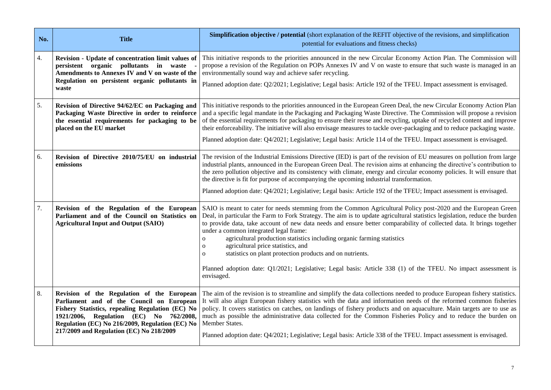| No. | <b>Title</b>                                                                                                                                                                                                                                                                          | <b>Simplification objective / potential</b> (short explanation of the REFIT objective of the revisions, and simplification<br>potential for evaluations and fitness checks)                                                                                                                                                                                                                                                                                                                                                                                                                                                                                                                                                                                               |
|-----|---------------------------------------------------------------------------------------------------------------------------------------------------------------------------------------------------------------------------------------------------------------------------------------|---------------------------------------------------------------------------------------------------------------------------------------------------------------------------------------------------------------------------------------------------------------------------------------------------------------------------------------------------------------------------------------------------------------------------------------------------------------------------------------------------------------------------------------------------------------------------------------------------------------------------------------------------------------------------------------------------------------------------------------------------------------------------|
| 4.  | Revision - Update of concentration limit values of<br>persistent organic pollutants in<br>waste<br>Amendments to Annexes IV and V on waste of the<br>Regulation on persistent organic pollutants in<br>waste                                                                          | This initiative responds to the priorities announced in the new Circular Economy Action Plan. The Commission will<br>propose a revision of the Regulation on POPs Annexes IV and V on waste to ensure that such waste is managed in an<br>environmentally sound way and achieve safer recycling.<br>Planned adoption date: Q2/2021; Legislative; Legal basis: Article 192 of the TFEU. Impact assessment is envisaged.                                                                                                                                                                                                                                                                                                                                                    |
| 5.  | Revision of Directive 94/62/EC on Packaging and<br>Packaging Waste Directive in order to reinforce<br>the essential requirements for packaging to be<br>placed on the EU market                                                                                                       | This initiative responds to the priorities announced in the European Green Deal, the new Circular Economy Action Plan<br>and a specific legal mandate in the Packaging and Packaging Waste Directive. The Commission will propose a revision<br>of the essential requirements for packaging to ensure their reuse and recycling, uptake of recycled content and improve<br>their enforceability. The initiative will also envisage measures to tackle over-packaging and to reduce packaging waste.<br>Planned adoption date: Q4/2021; Legislative; Legal basis: Article 114 of the TFEU. Impact assessment is envisaged.                                                                                                                                                 |
| 6.  | Revision of Directive 2010/75/EU on industrial<br>emissions                                                                                                                                                                                                                           | The revision of the Industrial Emissions Directive (IED) is part of the revision of EU measures on pollution from large<br>industrial plants, announced in the European Green Deal. The revision aims at enhancing the directive's contribution to<br>the zero pollution objective and its consistency with climate, energy and circular economy policies. It will ensure that<br>the directive is fit for purpose of accompanying the upcoming industrial transformation.<br>Planned adoption date: Q4/2021; Legislative; Legal basis: Article 192 of the TFEU; Impact assessment is envisaged.                                                                                                                                                                          |
| 7.  | Revision of the Regulation of the European<br>Parliament and of the Council on Statistics on<br><b>Agricultural Input and Output (SAIO)</b>                                                                                                                                           | SAIO is meant to cater for needs stemming from the Common Agricultural Policy post-2020 and the European Green<br>Deal, in particular the Farm to Fork Strategy. The aim is to update agricultural statistics legislation, reduce the burden<br>to provide data, take account of new data needs and ensure better comparability of collected data. It brings together<br>under a common integrated legal frame:<br>agricultural production statistics including organic farming statistics<br>$\mathbf{o}$<br>agricultural price statistics, and<br>$\mathbf{O}$<br>statistics on plant protection products and on nutrients.<br>$\Omega$<br>Planned adoption date: Q1/2021; Legislative; Legal basis: Article 338 (1) of the TFEU. No impact assessment is<br>envisaged. |
| 8.  | Revision of the Regulation of the European<br>Parliament and of the Council on European<br>Fishery Statistics, repealing Regulation (EC) No<br>1921/2006, Regulation (EC) No 762/2008,<br>Regulation (EC) No 216/2009, Regulation (EC) No<br>217/2009 and Regulation (EC) No 218/2009 | The aim of the revision is to streamline and simplify the data collections needed to produce European fishery statistics.<br>It will also align European fishery statistics with the data and information needs of the reformed common fisheries<br>policy. It covers statistics on catches, on landings of fishery products and on aquaculture. Main targets are to use as<br>much as possible the administrative data collected for the Common Fisheries Policy and to reduce the burden on<br>Member States.<br>Planned adoption date: Q4/2021; Legislative; Legal basis: Article 338 of the TFEU. Impact assessment is envisaged.                                                                                                                                     |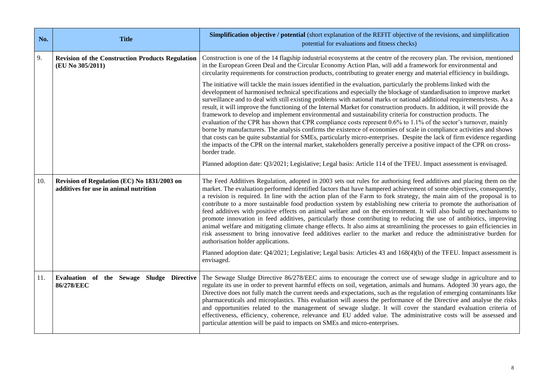| No. | <b>Title</b>                                                                         | <b>Simplification objective / potential</b> (short explanation of the REFIT objective of the revisions, and simplification<br>potential for evaluations and fitness checks)                                                                                                                                                                                                                                                                                                                                                                                                                                                                                                                                                                                                                                                                                                                                                                                                                                                                                                                                                                                                                                                                                   |
|-----|--------------------------------------------------------------------------------------|---------------------------------------------------------------------------------------------------------------------------------------------------------------------------------------------------------------------------------------------------------------------------------------------------------------------------------------------------------------------------------------------------------------------------------------------------------------------------------------------------------------------------------------------------------------------------------------------------------------------------------------------------------------------------------------------------------------------------------------------------------------------------------------------------------------------------------------------------------------------------------------------------------------------------------------------------------------------------------------------------------------------------------------------------------------------------------------------------------------------------------------------------------------------------------------------------------------------------------------------------------------|
| 9.  | <b>Revision of the Construction Products Regulation</b><br>(EU No 305/2011)          | Construction is one of the 14 flagship industrial ecosystems at the centre of the recovery plan. The revision, mentioned<br>in the European Green Deal and the Circular Economy Action Plan, will add a framework for environmental and<br>circularity requirements for construction products, contributing to greater energy and material efficiency in buildings.                                                                                                                                                                                                                                                                                                                                                                                                                                                                                                                                                                                                                                                                                                                                                                                                                                                                                           |
|     |                                                                                      | The initiative will tackle the main issues identified in the evaluation, particularly the problems linked with the<br>development of harmonised technical specifications and especially the blockage of standardisation to improve market<br>surveillance and to deal with still existing problems with national marks or national additional requirements/tests. As a<br>result, it will improve the functioning of the Internal Market for construction products. In addition, it will provide the<br>framework to develop and implement environmental and sustainability criteria for construction products. The<br>evaluation of the CPR has shown that CPR compliance costs represent 0.6% to 1.1% of the sector's turnover, mainly<br>borne by manufacturers. The analysis confirms the existence of economies of scale in compliance activities and shows<br>that costs can be quite substantial for SMEs, particularly micro-enterprises. Despite the lack of firm evidence regarding<br>the impacts of the CPR on the internal market, stakeholders generally perceive a positive impact of the CPR on cross-<br>border trade.<br>Planned adoption date: Q3/2021; Legislative; Legal basis: Article 114 of the TFEU. Impact assessment is envisaged. |
| 10. | Revision of Regulation (EC) No 1831/2003 on<br>additives for use in animal nutrition | The Feed Additives Regulation, adopted in 2003 sets out rules for authorising feed additives and placing them on the<br>market. The evaluation performed identified factors that have hampered achievement of some objectives, consequently,<br>a revision is required. In line with the action plan of the Farm to fork strategy, the main aim of the proposal is to<br>contribute to a more sustainable food production system by establishing new criteria to promote the authorisation of<br>feed additives with positive effects on animal welfare and on the environment. It will also build up mechanisms to<br>promote innovation in feed additives, particularly those contributing to reducing the use of antibiotics, improving<br>animal welfare and mitigating climate change effects. It also aims at streamlining the processes to gain efficiencies in<br>risk assessment to bring innovative feed additives earlier to the market and reduce the administrative burden for<br>authorisation holder applications.<br>Planned adoption date: Q4/2021; Legislative; Legal basis: Articles 43 and 168(4)(b) of the TFEU. Impact assessment is<br>envisaged.                                                                                      |
| 11. | Evaluation of the Sewage Sludge Directive<br>86/278/EEC                              | The Sewage Sludge Directive 86/278/EEC aims to encourage the correct use of sewage sludge in agriculture and to<br>regulate its use in order to prevent harmful effects on soil, vegetation, animals and humans. Adopted 30 years ago, the<br>Directive does not fully match the current needs and expectations, such as the regulation of emerging contaminants like<br>pharmaceuticals and microplastics. This evaluation will assess the performance of the Directive and analyse the risks<br>and opportunities related to the management of sewage sludge. It will cover the standard evaluation criteria of<br>effectiveness, efficiency, coherence, relevance and EU added value. The administrative costs will be assessed and<br>particular attention will be paid to impacts on SMEs and micro-enterprises.                                                                                                                                                                                                                                                                                                                                                                                                                                         |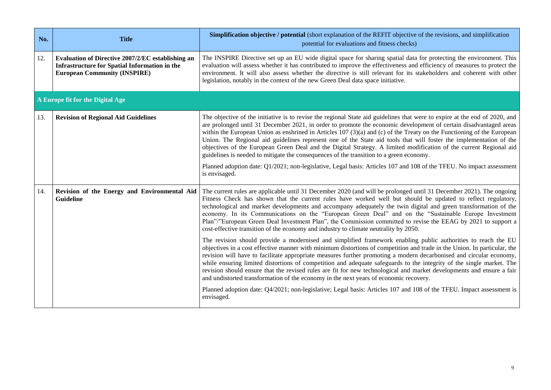| No. | <b>Title</b>                                                                                                                                     | <b>Simplification objective / potential</b> (short explanation of the REFIT objective of the revisions, and simplification<br>potential for evaluations and fitness checks)                                                                                                                                                                                                                                                                                                                                                                                                                                                                                                                                                                                                                                                               |
|-----|--------------------------------------------------------------------------------------------------------------------------------------------------|-------------------------------------------------------------------------------------------------------------------------------------------------------------------------------------------------------------------------------------------------------------------------------------------------------------------------------------------------------------------------------------------------------------------------------------------------------------------------------------------------------------------------------------------------------------------------------------------------------------------------------------------------------------------------------------------------------------------------------------------------------------------------------------------------------------------------------------------|
| 12. | Evaluation of Directive 2007/2/EC establishing an<br><b>Infrastructure for Spatial Information in the</b><br><b>European Community (INSPIRE)</b> | The INSPIRE Directive set up an EU wide digital space for sharing spatial data for protecting the environment. This<br>evaluation will assess whether it has contributed to improve the effectiveness and efficiency of measures to protect the<br>environment. It will also assess whether the directive is still relevant for its stakeholders and coherent with other<br>legislation, notably in the context of the new Green Deal data space initiative.                                                                                                                                                                                                                                                                                                                                                                              |
|     | A Europe fit for the Digital Age                                                                                                                 |                                                                                                                                                                                                                                                                                                                                                                                                                                                                                                                                                                                                                                                                                                                                                                                                                                           |
| 13. | <b>Revision of Regional Aid Guidelines</b>                                                                                                       | The objective of the initiative is to revise the regional State aid guidelines that were to expire at the end of 2020, and<br>are prolonged until 31 December 2021, in order to promote the economic development of certain disadvantaged areas<br>within the European Union as enshrined in Articles $107(3)(a)$ and (c) of the Treaty on the Functioning of the European<br>Union. The Regional aid guidelines represent one of the State aid tools that will foster the implementation of the<br>objectives of the European Green Deal and the Digital Strategy. A limited modification of the current Regional aid<br>guidelines is needed to mitigate the consequences of the transition to a green economy.<br>Planned adoption date: Q1/2021; non-legislative, Legal basis: Articles 107 and 108 of the TFEU. No impact assessment |
|     |                                                                                                                                                  | is envisaged.                                                                                                                                                                                                                                                                                                                                                                                                                                                                                                                                                                                                                                                                                                                                                                                                                             |
| 14. | Revision of the Energy and Environmental Aid<br><b>Guideline</b>                                                                                 | The current rules are applicable until 31 December 2020 (and will be prolonged until 31 December 2021). The ongoing<br>Fitness Check has shown that the current rules have worked well but should be updated to reflect regulatory,<br>technological and market developments and accompany adequately the twin digital and green transformation of the<br>economy. In its Communications on the "European Green Deal" and on the "Sustainable Europe Investment<br>Plan"/"European Green Deal Investment Plan", the Commission committed to revise the EEAG by 2021 to support a<br>cost-effective transition of the economy and industry to climate neutrality by 2050.                                                                                                                                                                  |
|     |                                                                                                                                                  | The revision should provide a modernised and simplified framework enabling public authorities to reach the EU<br>objectives in a cost effective manner with minimum distortions of competition and trade in the Union. In particular, the<br>revision will have to facilitate appropriate measures further promoting a modern decarbonised and circular economy,<br>while ensuring limited distortions of competition and adequate safeguards to the integrity of the single market. The<br>revision should ensure that the revised rules are fit for new technological and market developments and ensure a fair<br>and undistorted transformation of the economy in the next years of economic recovery.                                                                                                                                |
|     |                                                                                                                                                  | Planned adoption date: Q4/2021; non-legislative; Legal basis: Articles 107 and 108 of the TFEU. Impact assessment is<br>envisaged.                                                                                                                                                                                                                                                                                                                                                                                                                                                                                                                                                                                                                                                                                                        |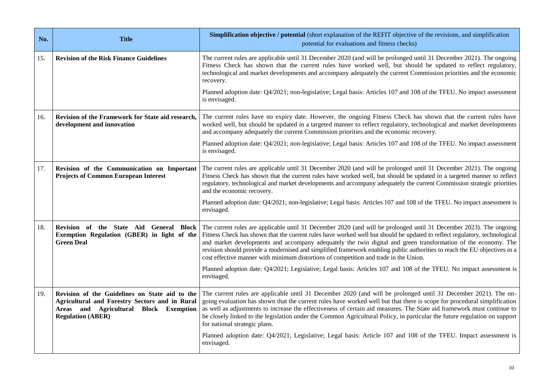| No. | <b>Title</b>                                                                                                                                                           | <b>Simplification objective / potential</b> (short explanation of the REFIT objective of the revisions, and simplification<br>potential for evaluations and fitness checks)                                                                                                                                                                                                                                                                                                                                                                                                               |
|-----|------------------------------------------------------------------------------------------------------------------------------------------------------------------------|-------------------------------------------------------------------------------------------------------------------------------------------------------------------------------------------------------------------------------------------------------------------------------------------------------------------------------------------------------------------------------------------------------------------------------------------------------------------------------------------------------------------------------------------------------------------------------------------|
| 15. | <b>Revision of the Risk Finance Guidelines</b>                                                                                                                         | The current rules are applicable until 31 December 2020 (and will be prolonged until 31 December 2021). The ongoing<br>Fitness Check has shown that the current rules have worked well, but should be updated to reflect regulatory,<br>technological and market developments and accompany adequately the current Commission priorities and the economic<br>recovery.                                                                                                                                                                                                                    |
|     |                                                                                                                                                                        | Planned adoption date: Q4/2021; non-legislative; Legal basis: Articles 107 and 108 of the TFEU. No impact assessment<br>is envisaged.                                                                                                                                                                                                                                                                                                                                                                                                                                                     |
| 16. | Revision of the Framework for State aid research,<br>development and innovation                                                                                        | The current rules have no expiry date. However, the ongoing Fitness Check has shown that the current rules have<br>worked well, but should be updated in a targeted manner to reflect regulatory, technological and market developments<br>and accompany adequately the current Commission priorities and the economic recovery.                                                                                                                                                                                                                                                          |
|     |                                                                                                                                                                        | Planned adoption date: Q4/2021; non-legislative; Legal basis: Articles 107 and 108 of the TFEU. No impact assessment<br>is envisaged.                                                                                                                                                                                                                                                                                                                                                                                                                                                     |
| 17. | Revision of the Communication on Important<br><b>Projects of Common European Interest</b>                                                                              | The current rules are applicable until 31 December 2020 (and will be prolonged until 31 December 2021). The ongoing<br>Fitness Check has shown that the current rules have worked well, but should be updated in a targeted manner to reflect<br>regulatory, technological and market developments and accompany adequately the current Commission strategic priorities<br>and the economic recovery.                                                                                                                                                                                     |
|     |                                                                                                                                                                        | Planned adoption date: Q4/2021; non-legislative; Legal basis: Articles 107 and 108 of the TFEU. No impact assessment is<br>envisaged.                                                                                                                                                                                                                                                                                                                                                                                                                                                     |
| 18. | Revision of the State Aid General Block<br>Exemption Regulation (GBER) in light of the<br><b>Green Deal</b>                                                            | The current rules are applicable until 31 December 2020 (and will be prolonged until 31 December 2023). The ongoing<br>Fitness Check has shown that the current rules have worked well but should be updated to reflect regulatory, technological<br>and market developments and accompany adequately the twin digital and green transformation of the economy. The<br>revision should provide a modernised and simplified framework enabling public authorities to reach the EU objectives in a<br>cost effective manner with minimum distortions of competition and trade in the Union. |
|     |                                                                                                                                                                        | Planned adoption date: Q4/2021; Legislative; Legal basis: Articles 107 and 108 of the TFEU. No impact assessment is<br>envisaged.                                                                                                                                                                                                                                                                                                                                                                                                                                                         |
| 19. | Revision of the Guidelines on State aid to the<br>Agricultural and Forestry Sectors and in Rural<br>Areas and Agricultural Block Exemption<br><b>Regulation (ABER)</b> | The current rules are applicable until 31 December 2020 (and will be prolonged until 31 December 2021). The on-<br>going evaluation has shown that the current rules have worked well but that there is scope for procedural simplification<br>as well as adjustments to increase the effectiveness of certain aid measures. The State aid framework must continue to<br>be closely linked to the legislation under the Common Agricultural Policy, in particular the future regulation on support<br>for national strategic plans.                                                       |
|     |                                                                                                                                                                        | Planned adoption date: Q4/2021; Legislative; Legal basis: Article 107 and 108 of the TFEU. Impact assessment is<br>envisaged.                                                                                                                                                                                                                                                                                                                                                                                                                                                             |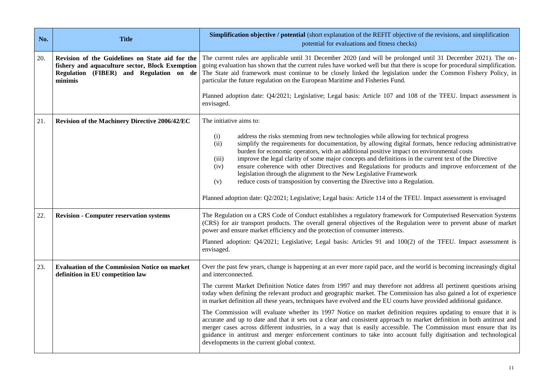| No. | <b>Title</b>                                                                                                                                             | <b>Simplification objective / potential</b> (short explanation of the REFIT objective of the revisions, and simplification<br>potential for evaluations and fitness checks)                                                                                                                                                                                                                                                                                                                                                                                                                                                                                                                               |
|-----|----------------------------------------------------------------------------------------------------------------------------------------------------------|-----------------------------------------------------------------------------------------------------------------------------------------------------------------------------------------------------------------------------------------------------------------------------------------------------------------------------------------------------------------------------------------------------------------------------------------------------------------------------------------------------------------------------------------------------------------------------------------------------------------------------------------------------------------------------------------------------------|
| 20. | Revision of the Guidelines on State aid for the<br>fishery and aquaculture sector, Block Exemption<br>Regulation (FIBER) and Regulation on de<br>minimis | The current rules are applicable until 31 December 2020 (and will be prolonged until 31 December 2021). The on-<br>going evaluation has shown that the current rules have worked well but that there is scope for procedural simplification.<br>The State aid framework must continue to be closely linked the legislation under the Common Fishery Policy, in<br>particular the future regulation on the European Maritime and Fisheries Fund.<br>Planned adoption date: Q4/2021; Legislative; Legal basis: Article 107 and 108 of the TFEU. Impact assessment is                                                                                                                                        |
|     |                                                                                                                                                          | envisaged.                                                                                                                                                                                                                                                                                                                                                                                                                                                                                                                                                                                                                                                                                                |
| 21. | Revision of the Machinery Directive 2006/42/EC                                                                                                           | The initiative aims to:                                                                                                                                                                                                                                                                                                                                                                                                                                                                                                                                                                                                                                                                                   |
|     |                                                                                                                                                          | address the risks stemming from new technologies while allowing for technical progress<br>(i)<br>simplify the requirements for documentation, by allowing digital formats, hence reducing administrative<br>(ii)<br>burden for economic operators, with an additional positive impact on environmental costs<br>improve the legal clarity of some major concepts and definitions in the current text of the Directive<br>(iii)<br>ensure coherence with other Directives and Regulations for products and improve enforcement of the<br>(iv)<br>legislation through the alignment to the New Legislative Framework<br>reduce costs of transposition by converting the Directive into a Regulation.<br>(v) |
|     |                                                                                                                                                          | Planned adoption date: Q2/2021; Legislative; Legal basis: Article 114 of the TFEU. Impact assessment is envisaged                                                                                                                                                                                                                                                                                                                                                                                                                                                                                                                                                                                         |
| 22. | <b>Revision - Computer reservation systems</b>                                                                                                           | The Regulation on a CRS Code of Conduct establishes a regulatory framework for Computerised Reservation Systems<br>(CRS) for air transport products. The overall general objectives of the Regulation were to prevent abuse of market<br>power and ensure market efficiency and the protection of consumer interests.                                                                                                                                                                                                                                                                                                                                                                                     |
|     |                                                                                                                                                          | Planned adoption: Q4/2021; Legislative; Legal basis: Articles 91 and 100(2) of the TFEU. Impact assessment is<br>envisaged.                                                                                                                                                                                                                                                                                                                                                                                                                                                                                                                                                                               |
| 23. | <b>Evaluation of the Commission Notice on market</b><br>definition in EU competition law                                                                 | Over the past few years, change is happening at an ever more rapid pace, and the world is becoming increasingly digital<br>and interconnected.                                                                                                                                                                                                                                                                                                                                                                                                                                                                                                                                                            |
|     |                                                                                                                                                          | The current Market Definition Notice dates from 1997 and may therefore not address all pertinent questions arising<br>today when defining the relevant product and geographic market. The Commission has also gained a lot of experience<br>in market definition all these years, techniques have evolved and the EU courts have provided additional guidance.                                                                                                                                                                                                                                                                                                                                            |
|     |                                                                                                                                                          | The Commission will evaluate whether its 1997 Notice on market definition requires updating to ensure that it is<br>accurate and up to date and that it sets out a clear and consistent approach to market definition in both antitrust and<br>merger cases across different industries, in a way that is easily accessible. The Commission must ensure that its<br>guidance in antitrust and merger enforcement continues to take into account fully digitisation and technological<br>developments in the current global context.                                                                                                                                                                       |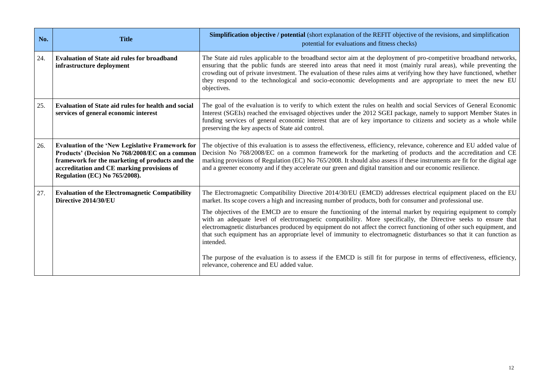| No. | <b>Title</b>                                                                                                                                                                                                                                       | <b>Simplification objective / potential</b> (short explanation of the REFIT objective of the revisions, and simplification<br>potential for evaluations and fitness checks)                                                                                                                                                                                                                                                                                                                     |
|-----|----------------------------------------------------------------------------------------------------------------------------------------------------------------------------------------------------------------------------------------------------|-------------------------------------------------------------------------------------------------------------------------------------------------------------------------------------------------------------------------------------------------------------------------------------------------------------------------------------------------------------------------------------------------------------------------------------------------------------------------------------------------|
| 24. | <b>Evaluation of State aid rules for broadband</b><br>infrastructure deployment                                                                                                                                                                    | The State aid rules applicable to the broadband sector aim at the deployment of pro-competitive broadband networks,<br>ensuring that the public funds are steered into areas that need it most (mainly rural areas), while preventing the<br>crowding out of private investment. The evaluation of these rules aims at verifying how they have functioned, whether<br>they respond to the technological and socio-economic developments and are appropriate to meet the new EU<br>objectives.   |
| 25. | <b>Evaluation of State aid rules for health and social</b><br>services of general economic interest                                                                                                                                                | The goal of the evaluation is to verify to which extent the rules on health and social Services of General Economic<br>Interest (SGEIs) reached the envisaged objectives under the 2012 SGEI package, namely to support Member States in<br>funding services of general economic interest that are of key importance to citizens and society as a whole while<br>preserving the key aspects of State aid control.                                                                               |
| 26. | <b>Evaluation of the 'New Legislative Framework for</b><br>Products' (Decision No 768/2008/EC on a common<br>framework for the marketing of products and the<br>accreditation and CE marking provisions of<br><b>Regulation (EC) No 765/2008).</b> | The objective of this evaluation is to assess the effectiveness, efficiency, relevance, coherence and EU added value of<br>Decision No 768/2008/EC on a common framework for the marketing of products and the accreditation and CE<br>marking provisions of Regulation (EC) No 765/2008. It should also assess if these instruments are fit for the digital age<br>and a greener economy and if they accelerate our green and digital transition and our economic resilience.                  |
| 27. | <b>Evaluation of the Electromagnetic Compatibility</b><br>Directive 2014/30/EU                                                                                                                                                                     | The Electromagnetic Compatibility Directive 2014/30/EU (EMCD) addresses electrical equipment placed on the EU<br>market. Its scope covers a high and increasing number of products, both for consumer and professional use.                                                                                                                                                                                                                                                                     |
|     |                                                                                                                                                                                                                                                    | The objectives of the EMCD are to ensure the functioning of the internal market by requiring equipment to comply<br>with an adequate level of electromagnetic compatibility. More specifically, the Directive seeks to ensure that<br>electromagnetic disturbances produced by equipment do not affect the correct functioning of other such equipment, and<br>that such equipment has an appropriate level of immunity to electromagnetic disturbances so that it can function as<br>intended. |
|     |                                                                                                                                                                                                                                                    | The purpose of the evaluation is to assess if the EMCD is still fit for purpose in terms of effectiveness, efficiency,<br>relevance, coherence and EU added value.                                                                                                                                                                                                                                                                                                                              |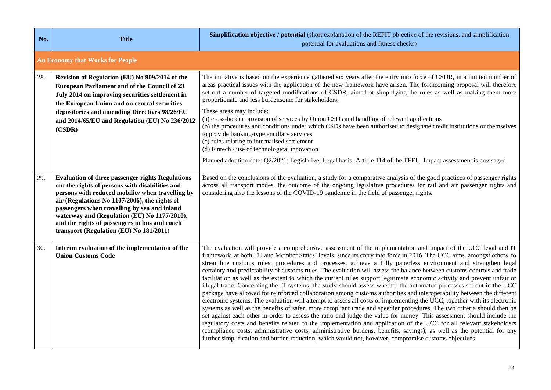| No. | <b>Title</b>                                                                                                                                                                                                                                                                                                                                                                                                | Simplification objective / potential (short explanation of the REFIT objective of the revisions, and simplification<br>potential for evaluations and fitness checks)                                                                                                                                                                                                                                                                                                                                                                                                                                                                                                                                                                                                                                                                                                                                                                                                                                                                                                                                                                                                                                                                                                                                                                                                                                                                                                                                                                                                                                            |  |
|-----|-------------------------------------------------------------------------------------------------------------------------------------------------------------------------------------------------------------------------------------------------------------------------------------------------------------------------------------------------------------------------------------------------------------|-----------------------------------------------------------------------------------------------------------------------------------------------------------------------------------------------------------------------------------------------------------------------------------------------------------------------------------------------------------------------------------------------------------------------------------------------------------------------------------------------------------------------------------------------------------------------------------------------------------------------------------------------------------------------------------------------------------------------------------------------------------------------------------------------------------------------------------------------------------------------------------------------------------------------------------------------------------------------------------------------------------------------------------------------------------------------------------------------------------------------------------------------------------------------------------------------------------------------------------------------------------------------------------------------------------------------------------------------------------------------------------------------------------------------------------------------------------------------------------------------------------------------------------------------------------------------------------------------------------------|--|
|     | <b>An Economy that Works for People</b>                                                                                                                                                                                                                                                                                                                                                                     |                                                                                                                                                                                                                                                                                                                                                                                                                                                                                                                                                                                                                                                                                                                                                                                                                                                                                                                                                                                                                                                                                                                                                                                                                                                                                                                                                                                                                                                                                                                                                                                                                 |  |
| 28. | Revision of Regulation (EU) No 909/2014 of the<br>European Parliament and of the Council of 23<br>July 2014 on improving securities settlement in<br>the European Union and on central securities<br>depositories and amending Directives 98/26/EC<br>and 2014/65/EU and Regulation (EU) No 236/2012<br>(CSDR)                                                                                              | The initiative is based on the experience gathered six years after the entry into force of CSDR, in a limited number of<br>areas practical issues with the application of the new framework have arisen. The forthcoming proposal will therefore<br>set out a number of targeted modifications of CSDR, aimed at simplifying the rules as well as making them more<br>proportionate and less burdensome for stakeholders.<br>These areas may include:<br>(a) cross-border provision of services by Union CSDs and handling of relevant applications<br>(b) the procedures and conditions under which CSDs have been authorised to designate credit institutions or themselves<br>to provide banking-type ancillary services<br>(c) rules relating to internalised settlement<br>(d) Fintech / use of technological innovation<br>Planned adoption date: Q2/2021; Legislative; Legal basis: Article 114 of the TFEU. Impact assessment is envisaged.                                                                                                                                                                                                                                                                                                                                                                                                                                                                                                                                                                                                                                                             |  |
| 29. | <b>Evaluation of three passenger rights Regulations</b><br>on: the rights of persons with disabilities and<br>persons with reduced mobility when travelling by<br>air (Regulations No 1107/2006), the rights of<br>passengers when travelling by sea and inland<br>waterway and (Regulation (EU) No 1177/2010),<br>and the rights of passengers in bus and coach<br>transport (Regulation (EU) No 181/2011) | Based on the conclusions of the evaluation, a study for a comparative analysis of the good practices of passenger rights<br>across all transport modes, the outcome of the ongoing legislative procedures for rail and air passenger rights and<br>considering also the lessons of the COVID-19 pandemic in the field of passenger rights.                                                                                                                                                                                                                                                                                                                                                                                                                                                                                                                                                                                                                                                                                                                                                                                                                                                                                                                                                                                                                                                                                                                                                                                                                                                                      |  |
| 30. | Interim evaluation of the implementation of the<br><b>Union Customs Code</b>                                                                                                                                                                                                                                                                                                                                | The evaluation will provide a comprehensive assessment of the implementation and impact of the UCC legal and IT<br>framework, at both EU and Member States' levels, since its entry into force in 2016. The UCC aims, amongst others, to<br>streamline customs rules, procedures and processes, achieve a fully paperless environment and strengthen legal<br>certainty and predictability of customs rules. The evaluation will assess the balance between customs controls and trade<br>facilitation as well as the extent to which the current rules support legitimate economic activity and prevent unfair or<br>illegal trade. Concerning the IT systems, the study should assess whether the automated processes set out in the UCC<br>package have allowed for reinforced collaboration among customs authorities and interoperability between the different<br>electronic systems. The evaluation will attempt to assess all costs of implementing the UCC, together with its electronic<br>systems as well as the benefits of safer, more compliant trade and speedier procedures. The two criteria should then be<br>set against each other in order to assess the ratio and judge the value for money. This assessment should include the<br>regulatory costs and benefits related to the implementation and application of the UCC for all relevant stakeholders<br>(compliance costs, administrative costs, administrative burdens, benefits, savings), as well as the potential for any<br>further simplification and burden reduction, which would not, however, compromise customs objectives. |  |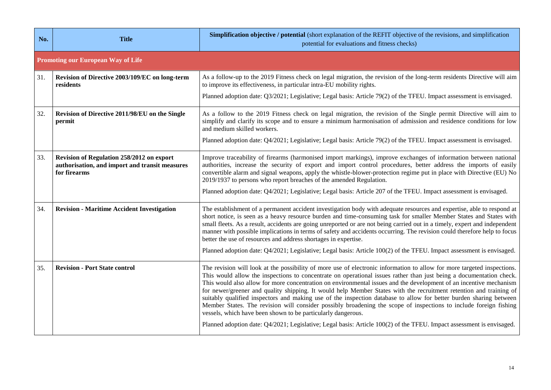| No. | <b>Title</b>                                                                                                | <b>Simplification objective / potential</b> (short explanation of the REFIT objective of the revisions, and simplification<br>potential for evaluations and fitness checks)                                                                                                                                                                                                                                                                                                                                                                                                                                                                                                                                                                                                                                                                                                                                                    |  |
|-----|-------------------------------------------------------------------------------------------------------------|--------------------------------------------------------------------------------------------------------------------------------------------------------------------------------------------------------------------------------------------------------------------------------------------------------------------------------------------------------------------------------------------------------------------------------------------------------------------------------------------------------------------------------------------------------------------------------------------------------------------------------------------------------------------------------------------------------------------------------------------------------------------------------------------------------------------------------------------------------------------------------------------------------------------------------|--|
|     | <b>Promoting our European Way of Life</b>                                                                   |                                                                                                                                                                                                                                                                                                                                                                                                                                                                                                                                                                                                                                                                                                                                                                                                                                                                                                                                |  |
| 31. | Revision of Directive 2003/109/EC on long-term<br>residents                                                 | As a follow-up to the 2019 Fitness check on legal migration, the revision of the long-term residents Directive will aim<br>to improve its effectiveness, in particular intra-EU mobility rights.<br>Planned adoption date: Q3/2021; Legislative; Legal basis: Article 79(2) of the TFEU. Impact assessment is envisaged.                                                                                                                                                                                                                                                                                                                                                                                                                                                                                                                                                                                                       |  |
|     |                                                                                                             |                                                                                                                                                                                                                                                                                                                                                                                                                                                                                                                                                                                                                                                                                                                                                                                                                                                                                                                                |  |
| 32. | Revision of Directive 2011/98/EU on the Single<br>permit                                                    | As a follow to the 2019 Fitness check on legal migration, the revision of the Single permit Directive will aim to<br>simplify and clarify its scope and to ensure a minimum harmonisation of admission and residence conditions for low<br>and medium skilled workers.                                                                                                                                                                                                                                                                                                                                                                                                                                                                                                                                                                                                                                                         |  |
|     |                                                                                                             | Planned adoption date: Q4/2021; Legislative; Legal basis: Article 79(2) of the TFEU. Impact assessment is envisaged.                                                                                                                                                                                                                                                                                                                                                                                                                                                                                                                                                                                                                                                                                                                                                                                                           |  |
| 33. | Revision of Regulation 258/2012 on export<br>authorisation, and import and transit measures<br>for firearms | Improve traceability of firearms (harmonised import markings), improve exchanges of information between national<br>authorities, increase the security of export and import control procedures, better address the imports of easily<br>convertible alarm and signal weapons, apply the whistle-blower-protection regime put in place with Directive (EU) No<br>2019/1937 to persons who report breaches of the amended Regulation.                                                                                                                                                                                                                                                                                                                                                                                                                                                                                            |  |
|     |                                                                                                             | Planned adoption date: Q4/2021; Legislative; Legal basis: Article 207 of the TFEU. Impact assessment is envisaged.                                                                                                                                                                                                                                                                                                                                                                                                                                                                                                                                                                                                                                                                                                                                                                                                             |  |
| 34. | <b>Revision - Maritime Accident Investigation</b>                                                           | The establishment of a permanent accident investigation body with adequate resources and expertise, able to respond at<br>short notice, is seen as a heavy resource burden and time-consuming task for smaller Member States and States with<br>small fleets. As a result, accidents are going unreported or are not being carried out in a timely, expert and independent<br>manner with possible implications in terms of safety and accidents occurring. The revision could therefore help to focus<br>better the use of resources and address shortages in expertise.<br>Planned adoption date: Q4/2021; Legislative; Legal basis: Article 100(2) of the TFEU. Impact assessment is envisaged.                                                                                                                                                                                                                             |  |
|     |                                                                                                             |                                                                                                                                                                                                                                                                                                                                                                                                                                                                                                                                                                                                                                                                                                                                                                                                                                                                                                                                |  |
| 35. | <b>Revision - Port State control</b>                                                                        | The revision will look at the possibility of more use of electronic information to allow for more targeted inspections.<br>This would allow the inspections to concentrate on operational issues rather than just being a documentation check.<br>This would also allow for more concentration on environmental issues and the development of an incentive mechanism<br>for newer/greener and quality shipping. It would help Member States with the recruitment retention and training of<br>suitably qualified inspectors and making use of the inspection database to allow for better burden sharing between<br>Member States. The revision will consider possibly broadening the scope of inspections to include foreign fishing<br>vessels, which have been shown to be particularly dangerous.<br>Planned adoption date: Q4/2021; Legislative; Legal basis: Article 100(2) of the TFEU. Impact assessment is envisaged. |  |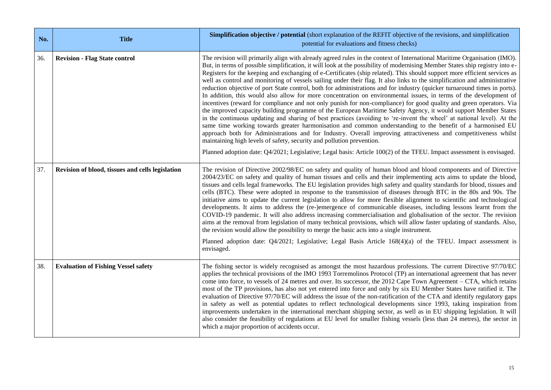| No. | <b>Title</b>                                     | <b>Simplification objective / potential</b> (short explanation of the REFIT objective of the revisions, and simplification<br>potential for evaluations and fitness checks)                                                                                                                                                                                                                                                                                                                                                                                                                                                                                                                                                                                                                                                                                                                                                                                                                                                                                                                                                                                                                                                                                                                                                                                                                                                                                                                                                                                                  |  |
|-----|--------------------------------------------------|------------------------------------------------------------------------------------------------------------------------------------------------------------------------------------------------------------------------------------------------------------------------------------------------------------------------------------------------------------------------------------------------------------------------------------------------------------------------------------------------------------------------------------------------------------------------------------------------------------------------------------------------------------------------------------------------------------------------------------------------------------------------------------------------------------------------------------------------------------------------------------------------------------------------------------------------------------------------------------------------------------------------------------------------------------------------------------------------------------------------------------------------------------------------------------------------------------------------------------------------------------------------------------------------------------------------------------------------------------------------------------------------------------------------------------------------------------------------------------------------------------------------------------------------------------------------------|--|
| 36. | <b>Revision - Flag State control</b>             | The revision will primarily align with already agreed rules in the context of International Maritime Organisation (IMO).<br>But, in terms of possible simplification, it will look at the possibility of modernising Member States ship registry into e-<br>Registers for the keeping and exchanging of e-Certificates (ship related). This should support more efficient services as<br>well as control and monitoring of vessels sailing under their flag. It also links to the simplification and administrative<br>reduction objective of port State control, both for administrations and for industry (quicker turnaround times in ports).<br>In addition, this would also allow for more concentration on environmental issues, in terms of the development of<br>incentives (reward for compliance and not only punish for non-compliance) for good quality and green operators. Via<br>the improved capacity building programme of the European Maritime Safety Agency, it would support Member States<br>in the continuous updating and sharing of best practices (avoiding to 're-invent the wheel' at national level). At the<br>same time working towards greater harmonisation and common understanding to the benefit of a harmonised EU<br>approach both for Administrations and for Industry. Overall improving attractiveness and competitiveness whilst<br>maintaining high levels of safety, security and pollution prevention.<br>Planned adoption date: Q4/2021; Legislative; Legal basis: Article 100(2) of the TFEU. Impact assessment is envisaged. |  |
| 37. | Revision of blood, tissues and cells legislation | The revision of Directive 2002/98/EC on safety and quality of human blood and blood components and of Directive<br>2004/23/EC on safety and quality of human tissues and cells and their implementing acts aims to update the blood,<br>tissues and cells legal frameworks. The EU legislation provides high safety and quality standards for blood, tissues and<br>cells (BTC). These were adopted in response to the transmission of diseases through BTC in the 80s and 90s. The<br>initiative aims to update the current legislation to allow for more flexible alignment to scientific and technological<br>developments. It aims to address the (re-)emergence of communicable diseases, including lessons learnt from the<br>COVID-19 pandemic. It will also address increasing commercialisation and globalisation of the sector. The revision<br>aims at the removal from legislation of many technical provisions, which will allow faster updating of standards. Also,<br>the revision would allow the possibility to merge the basic acts into a single instrument.<br>Planned adoption date: Q4/2021; Legislative; Legal Basis Article 168(4)(a) of the TFEU. Impact assessment is<br>envisaged.                                                                                                                                                                                                                                                                                                                                                                |  |
| 38. | <b>Evaluation of Fishing Vessel safety</b>       | The fishing sector is widely recognised as amongst the most hazardous professions. The current Directive 97/70/EC<br>applies the technical provisions of the IMO 1993 Torremolinos Protocol (TP) an international agreement that has never<br>come into force, to vessels of 24 metres and over. Its successor, the 2012 Cape Town Agreement – CTA, which retains<br>most of the TP provisions, has also not yet entered into force and only by six EU Member States have ratified it. The<br>evaluation of Directive 97/70/EC will address the issue of the non-ratification of the CTA and identify regulatory gaps<br>in safety as well as potential updates to reflect technological developments since 1993, taking inspiration from<br>improvements undertaken in the international merchant shipping sector, as well as in EU shipping legislation. It will<br>also consider the feasibility of regulations at EU level for smaller fishing vessels (less than 24 metres), the sector in<br>which a major proportion of accidents occur.                                                                                                                                                                                                                                                                                                                                                                                                                                                                                                                              |  |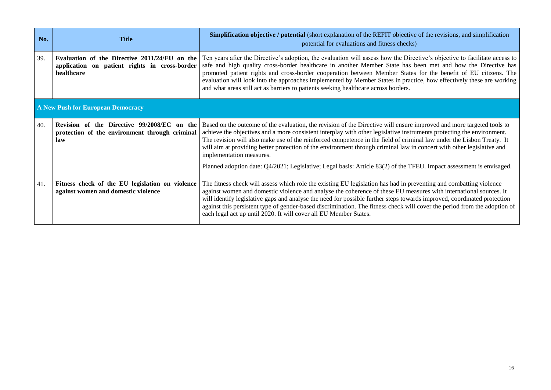| No.                               | <b>Title</b>                                                                                                 | <b>Simplification objective / potential (short explanation of the REFIT objective of the revisions, and simplification</b><br>potential for evaluations and fitness checks)                                                                                                                                                                                                                                                                                                                                                                                                                                                                          |  |
|-----------------------------------|--------------------------------------------------------------------------------------------------------------|------------------------------------------------------------------------------------------------------------------------------------------------------------------------------------------------------------------------------------------------------------------------------------------------------------------------------------------------------------------------------------------------------------------------------------------------------------------------------------------------------------------------------------------------------------------------------------------------------------------------------------------------------|--|
| 39.                               | Evaluation of the Directive 2011/24/EU on the<br>application on patient rights in cross-border<br>healthcare | Ten years after the Directive's adoption, the evaluation will assess how the Directive's objective to facilitate access to<br>safe and high quality cross-border healthcare in another Member State has been met and how the Directive has<br>promoted patient rights and cross-border cooperation between Member States for the benefit of EU citizens. The<br>evaluation will look into the approaches implemented by Member States in practice, how effectively these are working<br>and what areas still act as barriers to patients seeking healthcare across borders.                                                                          |  |
| A New Push for European Democracy |                                                                                                              |                                                                                                                                                                                                                                                                                                                                                                                                                                                                                                                                                                                                                                                      |  |
| 40.                               | Revision of the Directive 99/2008/EC on the<br>protection of the environment through criminal<br>law         | Based on the outcome of the evaluation, the revision of the Directive will ensure improved and more targeted tools to<br>achieve the objectives and a more consistent interplay with other legislative instruments protecting the environment.<br>The revision will also make use of the reinforced competence in the field of criminal law under the Lisbon Treaty. It<br>will aim at providing better protection of the environment through criminal law in concert with other legislative and<br>implementation measures.<br>Planned adoption date: Q4/2021; Legislative; Legal basis: Article 83(2) of the TFEU. Impact assessment is envisaged. |  |
| 41.                               | Fitness check of the EU legislation on violence<br>against women and domestic violence                       | The fitness check will assess which role the existing EU legislation has had in preventing and combatting violence<br>against women and domestic violence and analyse the coherence of these EU measures with international sources. It<br>will identify legislative gaps and analyse the need for possible further steps towards improved, coordinated protection<br>against this persistent type of gender-based discrimination. The fitness check will cover the period from the adoption of<br>each legal act up until 2020. It will cover all EU Member States.                                                                                 |  |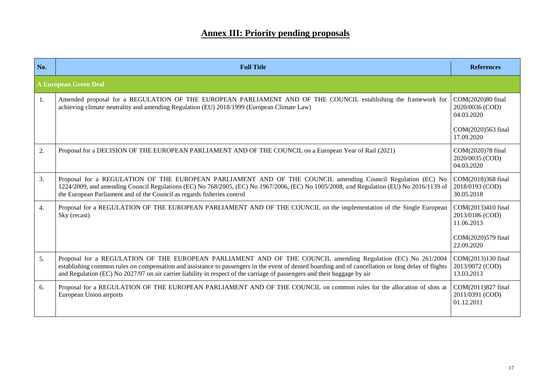### **Annex III: Priority pending proposals**

| No.                          | <b>Full Title</b>                                                                                                                                                                                                                                                                                                                                                                                |                                                     |  |
|------------------------------|--------------------------------------------------------------------------------------------------------------------------------------------------------------------------------------------------------------------------------------------------------------------------------------------------------------------------------------------------------------------------------------------------|-----------------------------------------------------|--|
| <b>A European Green Deal</b> |                                                                                                                                                                                                                                                                                                                                                                                                  |                                                     |  |
| 1.                           | Amended proposal for a REGULATION OF THE EUROPEAN PARLIAMENT AND OF THE COUNCIL establishing the framework for<br>achieving climate neutrality and amending Regulation (EU) 2018/1999 (European Climate Law)                                                                                                                                                                                     | COM(2020)80 final<br>2020/0036 (COD)<br>04.03.2020  |  |
|                              |                                                                                                                                                                                                                                                                                                                                                                                                  | COM(2020)563 final<br>17.09.2020                    |  |
| 2.                           | Proposal for a DECISION OF THE EUROPEAN PARLIAMENT AND OF THE COUNCIL on a European Year of Rail (2021)                                                                                                                                                                                                                                                                                          |                                                     |  |
| 3.                           | Proposal for a REGULATION OF THE EUROPEAN PARLIAMENT AND OF THE COUNCIL amending Council Regulation (EC) No<br>1224/2009, and amending Council Regulations (EC) No 768/2005, (EC) No 1967/2006, (EC) No 1005/2008, and Regulation (EU) No 2016/1139 of<br>the European Parliament and of the Council as regards fisheries control                                                                |                                                     |  |
| $\overline{4}$ .             | Proposal for a REGULATION OF THE EUROPEAN PARLIAMENT AND OF THE COUNCIL on the implementation of the Single European<br>Sky (recast)                                                                                                                                                                                                                                                             |                                                     |  |
|                              |                                                                                                                                                                                                                                                                                                                                                                                                  | COM(2020)579 final<br>22.09.2020                    |  |
| 5.                           | Proposal for a REGULATION OF THE EUROPEAN PARLIAMENT AND OF THE COUNCIL amending Regulation (EC) No 261/2004<br>establishing common rules on compensation and assistance to passengers in the event of denied boarding and of cancellation or long delay of flights<br>and Regulation (EC) No 2027/97 on air carrier liability in respect of the carriage of passengers and their baggage by air | COM(2013)130 final<br>2013/0072 (COD)<br>13.03.2013 |  |
| 6.                           | Proposal for a REGULATION OF THE EUROPEAN PARLIAMENT AND OF THE COUNCIL on common rules for the allocation of slots at<br>European Union airports                                                                                                                                                                                                                                                | COM(2011)827 final<br>2011/0391 (COD)<br>01.12.2011 |  |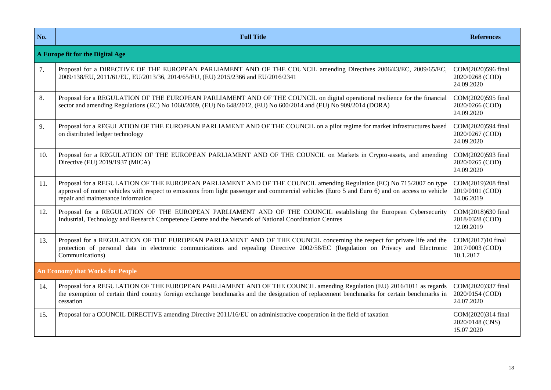| No. | <b>Full Title</b>                                                                                                                                                                                                                                                                                            |                                                     |  |  |
|-----|--------------------------------------------------------------------------------------------------------------------------------------------------------------------------------------------------------------------------------------------------------------------------------------------------------------|-----------------------------------------------------|--|--|
|     | A Europe fit for the Digital Age                                                                                                                                                                                                                                                                             |                                                     |  |  |
| 7.  | Proposal for a DIRECTIVE OF THE EUROPEAN PARLIAMENT AND OF THE COUNCIL amending Directives 2006/43/EC, 2009/65/EC,<br>2009/138/EU, 2011/61/EU, EU/2013/36, 2014/65/EU, (EU) 2015/2366 and EU/2016/2341                                                                                                       | COM(2020)596 final<br>2020/0268 (COD)<br>24.09.2020 |  |  |
| 8.  | Proposal for a REGULATION OF THE EUROPEAN PARLIAMENT AND OF THE COUNCIL on digital operational resilience for the financial<br>sector and amending Regulations (EC) No 1060/2009, (EU) No 648/2012, (EU) No 600/2014 and (EU) No 909/2014 (DORA)                                                             | COM(2020)595 final<br>2020/0266 (COD)<br>24.09.2020 |  |  |
| 9.  | Proposal for a REGULATION OF THE EUROPEAN PARLIAMENT AND OF THE COUNCIL on a pilot regime for market infrastructures based<br>on distributed ledger technology                                                                                                                                               |                                                     |  |  |
| 10. | Proposal for a REGULATION OF THE EUROPEAN PARLIAMENT AND OF THE COUNCIL on Markets in Crypto-assets, and amending<br>Directive (EU) 2019/1937 (MICA)                                                                                                                                                         |                                                     |  |  |
| 11. | Proposal for a REGULATION OF THE EUROPEAN PARLIAMENT AND OF THE COUNCIL amending Regulation (EC) No 715/2007 on type<br>approval of motor vehicles with respect to emissions from light passenger and commercial vehicles (Euro 5 and Euro 6) and on access to vehicle<br>repair and maintenance information |                                                     |  |  |
| 12. | Proposal for a REGULATION OF THE EUROPEAN PARLIAMENT AND OF THE COUNCIL establishing the European Cybersecurity<br>COM(2018)630 final<br>Industrial, Technology and Research Competence Centre and the Network of National Coordination Centres<br>2018/0328 (COD)<br>12.09.2019                             |                                                     |  |  |
| 13. | Proposal for a REGULATION OF THE EUROPEAN PARLIAMENT AND OF THE COUNCIL concerning the respect for private life and the<br>protection of personal data in electronic communications and repealing Directive 2002/58/EC (Regulation on Privacy and Electronic<br>Communications)                              |                                                     |  |  |
|     | <b>An Economy that Works for People</b>                                                                                                                                                                                                                                                                      |                                                     |  |  |
| 14. | Proposal for a REGULATION OF THE EUROPEAN PARLIAMENT AND OF THE COUNCIL amending Regulation (EU) 2016/1011 as regards<br>the exemption of certain third country foreign exchange benchmarks and the designation of replacement benchmarks for certain benchmarks in<br>cessation                             | COM(2020)337 final<br>2020/0154 (COD)<br>24.07.2020 |  |  |
| 15. | Proposal for a COUNCIL DIRECTIVE amending Directive 2011/16/EU on administrative cooperation in the field of taxation                                                                                                                                                                                        | COM(2020)314 final<br>2020/0148 (CNS)<br>15.07.2020 |  |  |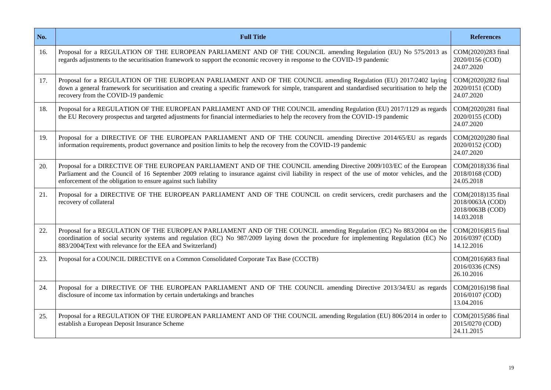| No. | <b>Full Title</b>                                                                                                                                                                                                                                                                                                                         |  |
|-----|-------------------------------------------------------------------------------------------------------------------------------------------------------------------------------------------------------------------------------------------------------------------------------------------------------------------------------------------|--|
| 16. | Proposal for a REGULATION OF THE EUROPEAN PARLIAMENT AND OF THE COUNCIL amending Regulation (EU) No 575/2013 as<br>regards adjustments to the securitisation framework to support the economic recovery in response to the COVID-19 pandemic                                                                                              |  |
| 17. | Proposal for a REGULATION OF THE EUROPEAN PARLIAMENT AND OF THE COUNCIL amending Regulation (EU) 2017/2402 laying<br>down a general framework for securitisation and creating a specific framework for simple, transparent and standardised securitisation to help the<br>recovery from the COVID-19 pandemic                             |  |
| 18. | Proposal for a REGULATION OF THE EUROPEAN PARLIAMENT AND OF THE COUNCIL amending Regulation (EU) 2017/1129 as regards<br>COM(2020)281 final<br>the EU Recovery prospectus and targeted adjustments for financial intermediaries to help the recovery from the COVID-19 pandemic                                                           |  |
| 19. | Proposal for a DIRECTIVE OF THE EUROPEAN PARLIAMENT AND OF THE COUNCIL amending Directive 2014/65/EU as regards<br>information requirements, product governance and position limits to help the recovery from the COVID-19 pandemic                                                                                                       |  |
| 20. | Proposal for a DIRECTIVE OF THE EUROPEAN PARLIAMENT AND OF THE COUNCIL amending Directive 2009/103/EC of the European<br>Parliament and the Council of 16 September 2009 relating to insurance against civil liability in respect of the use of motor vehicles, and the<br>enforcement of the obligation to ensure against such liability |  |
| 21. | Proposal for a DIRECTIVE OF THE EUROPEAN PARLIAMENT AND OF THE COUNCIL on credit servicers, credit purchasers and the<br>recovery of collateral                                                                                                                                                                                           |  |
| 22. | Proposal for a REGULATION OF THE EUROPEAN PARLIAMENT AND OF THE COUNCIL amending Regulation (EC) No 883/2004 on the<br>coordination of social security systems and regulation (EC) No 987/2009 laying down the procedure for implementing Regulation (EC) No<br>883/2004(Text with relevance for the EEA and Switzerland)                 |  |
| 23. | Proposal for a COUNCIL DIRECTIVE on a Common Consolidated Corporate Tax Base (CCCTB)                                                                                                                                                                                                                                                      |  |
| 24. | Proposal for a DIRECTIVE OF THE EUROPEAN PARLIAMENT AND OF THE COUNCIL amending Directive 2013/34/EU as regards<br>disclosure of income tax information by certain undertakings and branches                                                                                                                                              |  |
| 25. | Proposal for a REGULATION OF THE EUROPEAN PARLIAMENT AND OF THE COUNCIL amending Regulation (EU) 806/2014 in order to<br>establish a European Deposit Insurance Scheme                                                                                                                                                                    |  |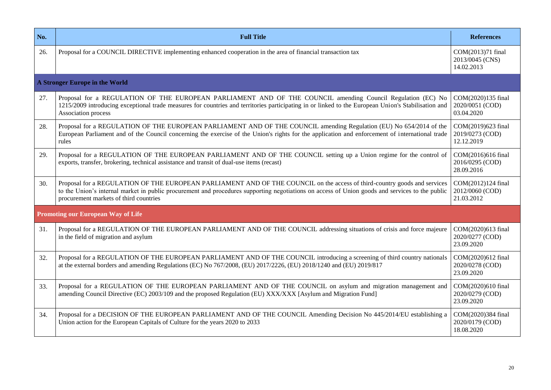| No. | <b>Full Title</b>                                                                                                                                                                                                                                                                                                                  |                                                     |
|-----|------------------------------------------------------------------------------------------------------------------------------------------------------------------------------------------------------------------------------------------------------------------------------------------------------------------------------------|-----------------------------------------------------|
| 26. | Proposal for a COUNCIL DIRECTIVE implementing enhanced cooperation in the area of financial transaction tax                                                                                                                                                                                                                        |                                                     |
|     | <b>A Stronger Europe in the World</b>                                                                                                                                                                                                                                                                                              |                                                     |
| 27. | Proposal for a REGULATION OF THE EUROPEAN PARLIAMENT AND OF THE COUNCIL amending Council Regulation (EC) No<br>COM(2020)135 final<br>1215/2009 introducing exceptional trade measures for countries and territories participating in or linked to the European Union's Stabilisation and<br>2020/0051 (COD)<br>Association process |                                                     |
| 28. | Proposal for a REGULATION OF THE EUROPEAN PARLIAMENT AND OF THE COUNCIL amending Regulation (EU) No 654/2014 of the<br>European Parliament and of the Council concerning the exercise of the Union's rights for the application and enforcement of international trade<br>rules                                                    |                                                     |
| 29. | Proposal for a REGULATION OF THE EUROPEAN PARLIAMENT AND OF THE COUNCIL setting up a Union regime for the control of<br>exports, transfer, brokering, technical assistance and transit of dual-use items (recast)                                                                                                                  |                                                     |
| 30. | Proposal for a REGULATION OF THE EUROPEAN PARLIAMENT AND OF THE COUNCIL on the access of third-country goods and services<br>to the Union's internal market in public procurement and procedures supporting negotiations on access of Union goods and services to the public<br>procurement markets of third countries             | COM(2012)124 final<br>2012/0060 (COD)<br>21.03.2012 |
|     | Promoting our European Way of Life                                                                                                                                                                                                                                                                                                 |                                                     |
| 31. | Proposal for a REGULATION OF THE EUROPEAN PARLIAMENT AND OF THE COUNCIL addressing situations of crisis and force majeure<br>in the field of migration and asylum                                                                                                                                                                  |                                                     |
| 32. | Proposal for a REGULATION OF THE EUROPEAN PARLIAMENT AND OF THE COUNCIL introducing a screening of third country nationals<br>at the external borders and amending Regulations (EC) No 767/2008, (EU) 2017/2226, (EU) 2018/1240 and (EU) 2019/817                                                                                  |                                                     |
| 33. | Proposal for a REGULATION OF THE EUROPEAN PARLIAMENT AND OF THE COUNCIL on asylum and migration management and<br>amending Council Directive (EC) 2003/109 and the proposed Regulation (EU) XXX/XXX [Asylum and Migration Fund]                                                                                                    |                                                     |
| 34. | Proposal for a DECISION OF THE EUROPEAN PARLIAMENT AND OF THE COUNCIL Amending Decision No 445/2014/EU establishing a<br>Union action for the European Capitals of Culture for the years 2020 to 2033                                                                                                                              | COM(2020)384 final<br>2020/0179 (COD)<br>18.08.2020 |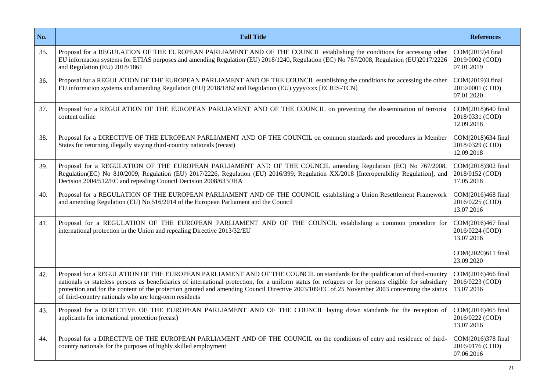| No. | <b>Full Title</b>                                                                                                                                                                                                                                                                                                                                                                                                                                                                               | <b>References</b>                                 |
|-----|-------------------------------------------------------------------------------------------------------------------------------------------------------------------------------------------------------------------------------------------------------------------------------------------------------------------------------------------------------------------------------------------------------------------------------------------------------------------------------------------------|---------------------------------------------------|
| 35. | Proposal for a REGULATION OF THE EUROPEAN PARLIAMENT AND OF THE COUNCIL establishing the conditions for accessing other<br>EU information systems for ETIAS purposes and amending Regulation (EU) 2018/1240, Regulation (EC) No 767/2008, Regulation (EU)2017/2226<br>and Regulation (EU) 2018/1861                                                                                                                                                                                             | COM(2019)4 final<br>2019/0002 (COD)<br>07.01.2019 |
| 36. | Proposal for a REGULATION OF THE EUROPEAN PARLIAMENT AND OF THE COUNCIL establishing the conditions for accessing the other<br>EU information systems and amending Regulation (EU) 2018/1862 and Regulation (EU) yyyy/xxx [ECRIS-TCN]                                                                                                                                                                                                                                                           | COM(2019)3 final<br>2019/0001 (COD)<br>07.01.2020 |
| 37. | Proposal for a REGULATION OF THE EUROPEAN PARLIAMENT AND OF THE COUNCIL on preventing the dissemination of terrorist<br>content online                                                                                                                                                                                                                                                                                                                                                          |                                                   |
| 38. | Proposal for a DIRECTIVE OF THE EUROPEAN PARLIAMENT AND OF THE COUNCIL on common standards and procedures in Member<br>States for returning illegally staying third-country nationals (recast)                                                                                                                                                                                                                                                                                                  |                                                   |
| 39. | Proposal for a REGULATION OF THE EUROPEAN PARLIAMENT AND OF THE COUNCIL amending Regulation (EC) No 767/2008,<br>Regulation(EC) No 810/2009, Regulation (EU) 2017/2226, Regulation (EU) 2016/399, Regulation XX/2018 [Interoperability Regulation], and<br>Decision 2004/512/EC and repealing Council Decision 2008/633/JHA                                                                                                                                                                     |                                                   |
| 40. | Proposal for a REGULATION OF THE EUROPEAN PARLIAMENT AND OF THE COUNCIL establishing a Union Resettlement Framework<br>and amending Regulation (EU) No 516/2014 of the European Parliament and the Council                                                                                                                                                                                                                                                                                      |                                                   |
| 41. | Proposal for a REGULATION OF THE EUROPEAN PARLIAMENT AND OF THE COUNCIL establishing a common procedure for<br>international protection in the Union and repealing Directive 2013/32/EU                                                                                                                                                                                                                                                                                                         |                                                   |
|     |                                                                                                                                                                                                                                                                                                                                                                                                                                                                                                 |                                                   |
| 42. | Proposal for a REGULATION OF THE EUROPEAN PARLIAMENT AND OF THE COUNCIL on standards for the qualification of third-country<br>nationals or stateless persons as beneficiaries of international protection, for a uniform status for refugees or for persons eligible for subsidiary<br>protection and for the content of the protection granted and amending Council Directive 2003/109/EC of 25 November 2003 concerning the status<br>of third-country nationals who are long-term residents |                                                   |
| 43. | Proposal for a DIRECTIVE OF THE EUROPEAN PARLIAMENT AND OF THE COUNCIL laying down standards for the reception of<br>applicants for international protection (recast)                                                                                                                                                                                                                                                                                                                           |                                                   |
| 44. | Proposal for a DIRECTIVE OF THE EUROPEAN PARLIAMENT AND OF THE COUNCIL on the conditions of entry and residence of third-<br>country nationals for the purposes of highly skilled employment                                                                                                                                                                                                                                                                                                    |                                                   |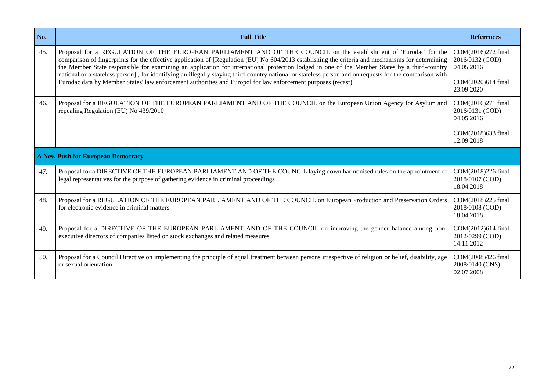| No. | <b>Full Title</b>                                                                                                                                                                                                                                                                                                                                                                                                                                                                                                                                                                                                                                                                                                                                                                             |                                                     |
|-----|-----------------------------------------------------------------------------------------------------------------------------------------------------------------------------------------------------------------------------------------------------------------------------------------------------------------------------------------------------------------------------------------------------------------------------------------------------------------------------------------------------------------------------------------------------------------------------------------------------------------------------------------------------------------------------------------------------------------------------------------------------------------------------------------------|-----------------------------------------------------|
| 45. | Proposal for a REGULATION OF THE EUROPEAN PARLIAMENT AND OF THE COUNCIL on the establishment of 'Eurodac' for the<br>COM(2016)272 final<br>comparison of fingerprints for the effective application of [Regulation (EU) No 604/2013 establishing the criteria and mechanisms for determining<br>2016/0132 (COD)<br>the Member State responsible for examining an application for international protection lodged in one of the Member States by a third-country<br>04.05.2016<br>national or a stateless person], for identifying an illegally staying third-country national or stateless person and on requests for the comparison with<br>Eurodac data by Member States' law enforcement authorities and Europol for law enforcement purposes (recast)<br>COM(2020)614 final<br>23.09.2020 |                                                     |
| 46. | Proposal for a REGULATION OF THE EUROPEAN PARLIAMENT AND OF THE COUNCIL on the European Union Agency for Asylum and<br>repealing Regulation (EU) No 439/2010                                                                                                                                                                                                                                                                                                                                                                                                                                                                                                                                                                                                                                  |                                                     |
|     | <b>A New Push for European Democracy</b>                                                                                                                                                                                                                                                                                                                                                                                                                                                                                                                                                                                                                                                                                                                                                      |                                                     |
| 47. | Proposal for a DIRECTIVE OF THE EUROPEAN PARLIAMENT AND OF THE COUNCIL laying down harmonised rules on the appointment of<br>legal representatives for the purpose of gathering evidence in criminal proceedings                                                                                                                                                                                                                                                                                                                                                                                                                                                                                                                                                                              | COM(2018)226 final<br>2018/0107 (COD)<br>18.04.2018 |
| 48. | Proposal for a REGULATION OF THE EUROPEAN PARLIAMENT AND OF THE COUNCIL on European Production and Preservation Orders<br>for electronic evidence in criminal matters                                                                                                                                                                                                                                                                                                                                                                                                                                                                                                                                                                                                                         |                                                     |
| 49. | Proposal for a DIRECTIVE OF THE EUROPEAN PARLIAMENT AND OF THE COUNCIL on improving the gender balance among non-<br>executive directors of companies listed on stock exchanges and related measures                                                                                                                                                                                                                                                                                                                                                                                                                                                                                                                                                                                          | COM(2012)614 final<br>2012/0299 (COD)<br>14.11.2012 |
| 50. | Proposal for a Council Directive on implementing the principle of equal treatment between persons irrespective of religion or belief, disability, age<br>or sexual orientation                                                                                                                                                                                                                                                                                                                                                                                                                                                                                                                                                                                                                | COM(2008)426 final<br>2008/0140 (CNS)<br>02.07.2008 |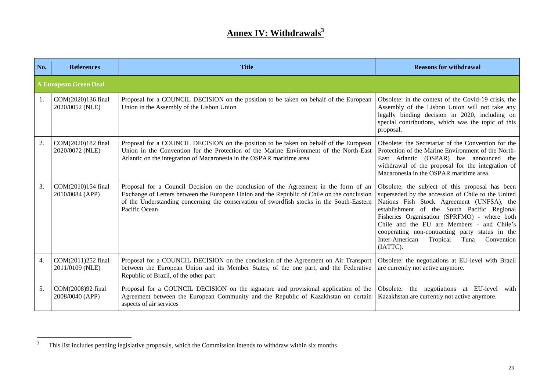# **Annex IV: Withdrawals<sup>3</sup>**

| No. | <b>References</b>                     | <b>Title</b>                                                                                                                                                                                                                                                                                     | <b>Reasons for withdrawal</b>                                                                                                                                                                                                                                                                                                                                                                                      |  |  |
|-----|---------------------------------------|--------------------------------------------------------------------------------------------------------------------------------------------------------------------------------------------------------------------------------------------------------------------------------------------------|--------------------------------------------------------------------------------------------------------------------------------------------------------------------------------------------------------------------------------------------------------------------------------------------------------------------------------------------------------------------------------------------------------------------|--|--|
|     | <b>A European Green Deal</b>          |                                                                                                                                                                                                                                                                                                  |                                                                                                                                                                                                                                                                                                                                                                                                                    |  |  |
| 1.  | COM(2020)136 final<br>2020/0052 (NLE) | Proposal for a COUNCIL DECISION on the position to be taken on behalf of the European<br>Union in the Assembly of the Lisbon Union                                                                                                                                                               | Obsolete: in the context of the Covid-19 crisis, the<br>Assembly of the Lisbon Union will not take any<br>legally binding decision in 2020, including on<br>special contributions, which was the topic of this<br>proposal.                                                                                                                                                                                        |  |  |
| 2.  | COM(2020)182 final<br>2020/0072 (NLE) | Proposal for a COUNCIL DECISION on the position to be taken on behalf of the European<br>Union in the Convention for the Protection of the Marine Environment of the North-East<br>Atlantic on the integration of Macaronesia in the OSPAR maritime area                                         | Obsolete: the Secretariat of the Convention for the<br>Protection of the Marine Environment of the North-<br>East Atlantic (OSPAR) has announced the<br>withdrawal of the proposal for the integration of<br>Macaronesia in the OSPAR maritime area.                                                                                                                                                               |  |  |
| 3.  | COM(2010)154 final<br>2010/0084 (APP) | Proposal for a Council Decision on the conclusion of the Agreement in the form of an<br>Exchange of Letters between the European Union and the Republic of Chile on the conclusion<br>of the Understanding concerning the conservation of swordfish stocks in the South-Eastern<br>Pacific Ocean | Obsolete: the subject of this proposal has been<br>superseded by the accession of Chile to the United<br>Nations Fish Stock Agreement (UNFSA), the<br>establishment of the South Pacific Regional<br>Fisheries Organisation (SPRFMO) - where both<br>Chile and the EU are Members - and Chile's<br>cooperating non-contracting party status in the<br>Inter-American<br>Tropical<br>Convention<br>Tuna<br>(IATTC). |  |  |
| 4.  | COM(2011)252 final<br>2011/0109 (NLE) | Proposal for a COUNCIL DECISION on the conclusion of the Agreement on Air Transport<br>between the European Union and its Member States, of the one part, and the Federative<br>Republic of Brazil, of the other part                                                                            | Obsolete: the negotiations at EU-level with Brazil<br>are currently not active anymore.                                                                                                                                                                                                                                                                                                                            |  |  |
| 5.  | COM(2008)92 final<br>2008/0040 (APP)  | Proposal for a COUNCIL DECISION on the signature and provisional application of the<br>Agreement between the European Community and the Republic of Kazakhstan on certain<br>aspects of air services                                                                                             | Obsolete: the negotiations at EU-level<br>with<br>Kazakhstan are currently not active anymore.                                                                                                                                                                                                                                                                                                                     |  |  |

 $\overline{3}$ <sup>3</sup> This list includes pending legislative proposals, which the Commission intends to withdraw within six months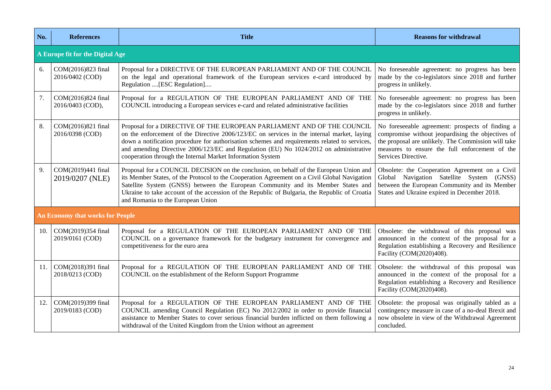| No. | <b>References</b>                       | <b>Title</b>                                                                                                                                                                                                                                                                                                                                                                                                                 | <b>Reasons for withdrawal</b>                                                                                                                                                                                                         |  |  |
|-----|-----------------------------------------|------------------------------------------------------------------------------------------------------------------------------------------------------------------------------------------------------------------------------------------------------------------------------------------------------------------------------------------------------------------------------------------------------------------------------|---------------------------------------------------------------------------------------------------------------------------------------------------------------------------------------------------------------------------------------|--|--|
|     | A Europe fit for the Digital Age        |                                                                                                                                                                                                                                                                                                                                                                                                                              |                                                                                                                                                                                                                                       |  |  |
| 6.  | COM(2016)823 final<br>2016/0402 (COD)   | Proposal for a DIRECTIVE OF THE EUROPEAN PARLIAMENT AND OF THE COUNCIL<br>on the legal and operational framework of the European services e-card introduced by<br>Regulation [ESC Regulation]                                                                                                                                                                                                                                | No foreseeable agreement: no progress has been<br>made by the co-legislators since 2018 and further<br>progress in unlikely.                                                                                                          |  |  |
| 7.  | COM(2016)824 final<br>2016/0403 (COD),  | Proposal for a REGULATION OF THE EUROPEAN PARLIAMENT AND OF THE<br>COUNCIL introducing a European services e-card and related administrative facilities                                                                                                                                                                                                                                                                      | No foreseeable agreement: no progress has been<br>made by the co-legislators since 2018 and further<br>progress in unlikely.                                                                                                          |  |  |
| 8.  | COM(2016)821 final<br>2016/0398 (COD)   | Proposal for a DIRECTIVE OF THE EUROPEAN PARLIAMENT AND OF THE COUNCIL<br>on the enforcement of the Directive 2006/123/EC on services in the internal market, laying<br>down a notification procedure for authorisation schemes and requirements related to services,<br>and amending Directive 2006/123/EC and Regulation (EU) No 1024/2012 on administrative<br>cooperation through the Internal Market Information System | No foreseeable agreement: prospects of finding a<br>compromise without jeopardising the objectives of<br>the proposal are unlikely. The Commission will take<br>measures to ensure the full enforcement of the<br>Services Directive. |  |  |
| 9.  | COM(2019)441 final<br>2019/0207 (NLE)   | Proposal for a COUNCIL DECISION on the conclusion, on behalf of the European Union and<br>its Member States, of the Protocol to the Cooperation Agreement on a Civil Global Navigation<br>Satellite System (GNSS) between the European Community and its Member States and<br>Ukraine to take account of the accession of the Republic of Bulgaria, the Republic of Croatia<br>and Romania to the European Union             | Obsolete: the Cooperation Agreement on a Civil<br>Global Navigation Satellite System (GNSS)<br>between the European Community and its Member<br>States and Ukraine expired in December 2018.                                          |  |  |
|     | <b>An Economy that works for People</b> |                                                                                                                                                                                                                                                                                                                                                                                                                              |                                                                                                                                                                                                                                       |  |  |
| 10. | COM(2019)354 final<br>2019/0161 (COD)   | Proposal for a REGULATION OF THE EUROPEAN PARLIAMENT AND OF THE<br>COUNCIL on a governance framework for the budgetary instrument for convergence and<br>competitiveness for the euro area                                                                                                                                                                                                                                   | Obsolete: the withdrawal of this proposal was<br>announced in the context of the proposal for a<br>Regulation establishing a Recovery and Resilience<br>Facility (COM(2020)408).                                                      |  |  |
| 11. | COM(2018)391 final<br>2018/0213 (COD)   | Proposal for a REGULATION OF THE EUROPEAN PARLIAMENT AND OF THE<br>COUNCIL on the establishment of the Reform Support Programme                                                                                                                                                                                                                                                                                              | Obsolete: the withdrawal of this proposal was<br>announced in the context of the proposal for a<br>Regulation establishing a Recovery and Resilience<br>Facility (COM(2020)408).                                                      |  |  |
| 12. | COM(2019)399 final<br>2019/0183 (COD)   | Proposal for a REGULATION OF THE EUROPEAN PARLIAMENT AND OF THE<br>COUNCIL amending Council Regulation (EC) No 2012/2002 in order to provide financial<br>assistance to Member States to cover serious financial burden inflicted on them following a<br>withdrawal of the United Kingdom from the Union without an agreement                                                                                                | Obsolete: the proposal was originally tabled as a<br>contingency measure in case of a no-deal Brexit and<br>now obsolete in view of the Withdrawal Agreement<br>concluded.                                                            |  |  |